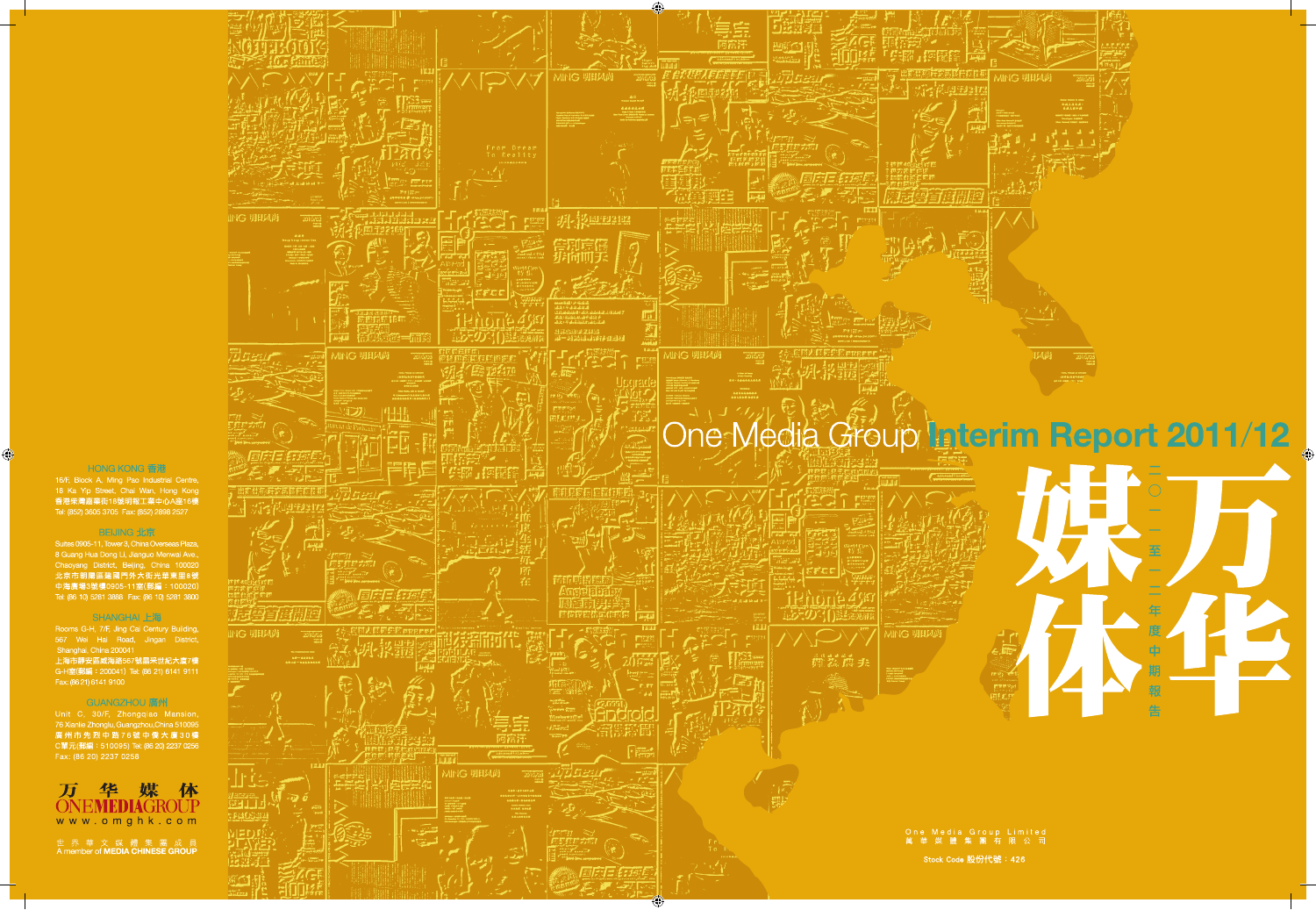

Stock Code 股份代號: 426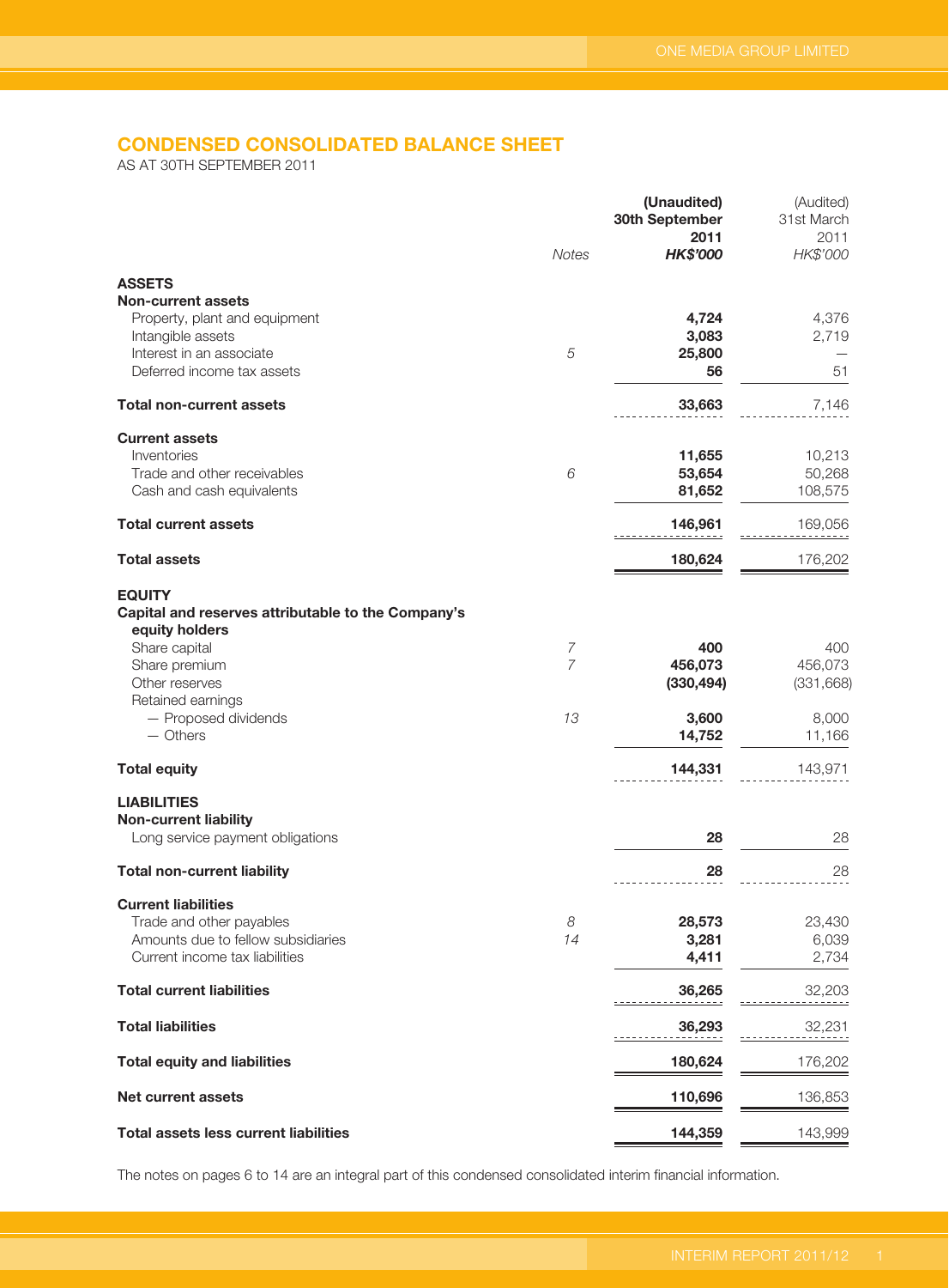# **CONDENSED CONSOLIDATED BALANCE SHEET**

AS AT 30TH SEPTEMBER 2011

|                                                                                                                                           | Notes          | (Unaudited)<br>30th September<br>2011<br><b>HK\$'000</b> | (Audited)<br>31st March<br>2011<br>HK\$'000 |
|-------------------------------------------------------------------------------------------------------------------------------------------|----------------|----------------------------------------------------------|---------------------------------------------|
| <b>ASSETS</b>                                                                                                                             |                |                                                          |                                             |
| <b>Non-current assets</b><br>Property, plant and equipment<br>Intangible assets<br>Interest in an associate<br>Deferred income tax assets | 5              | 4,724<br>3,083<br>25,800<br>56                           | 4,376<br>2,719<br>51                        |
| <b>Total non-current assets</b>                                                                                                           |                | 33,663                                                   | 7,146                                       |
| <b>Current assets</b><br>Inventories<br>Trade and other receivables<br>Cash and cash equivalents                                          | 6              | 11,655<br>53,654<br>81,652                               | 10,213<br>50,268<br>108,575                 |
| <b>Total current assets</b>                                                                                                               |                | 146,961                                                  | 169,056                                     |
| <b>Total assets</b>                                                                                                                       |                | 180,624                                                  | 176,202                                     |
| <b>EQUITY</b><br>Capital and reserves attributable to the Company's<br>equity holders<br>Share capital                                    | $\overline{7}$ | 400                                                      | 400                                         |
| Share premium<br>Other reserves<br>Retained earnings                                                                                      | $\overline{7}$ | 456,073<br>(330, 494)                                    | 456,073<br>(331, 668)                       |
| - Proposed dividends<br>$-$ Others                                                                                                        | 13             | 3,600<br>14,752                                          | 8,000<br>11,166                             |
| <b>Total equity</b>                                                                                                                       |                | 144,331                                                  | 143,971                                     |
| <b>LIABILITIES</b><br><b>Non-current liability</b><br>Long service payment obligations                                                    |                | 28                                                       | 28                                          |
| <b>Total non-current liability</b>                                                                                                        |                | 28                                                       | 28                                          |
| <b>Current liabilities</b>                                                                                                                |                |                                                          |                                             |
| Trade and other payables<br>Amounts due to fellow subsidiaries<br>Current income tax liabilities                                          | 8<br>14        | 28,573<br>3,281<br>4,411                                 | 23,430<br>6,039<br>2,734                    |
| <b>Total current liabilities</b>                                                                                                          |                | 36,265                                                   | 32,203                                      |
| <b>Total liabilities</b>                                                                                                                  |                | 36,293                                                   | 32,231                                      |
| <b>Total equity and liabilities</b>                                                                                                       |                | 180,624                                                  | 176,202                                     |
| <b>Net current assets</b>                                                                                                                 |                | 110,696                                                  | 136,853                                     |
| <b>Total assets less current liabilities</b>                                                                                              |                | 144,359                                                  | 143,999                                     |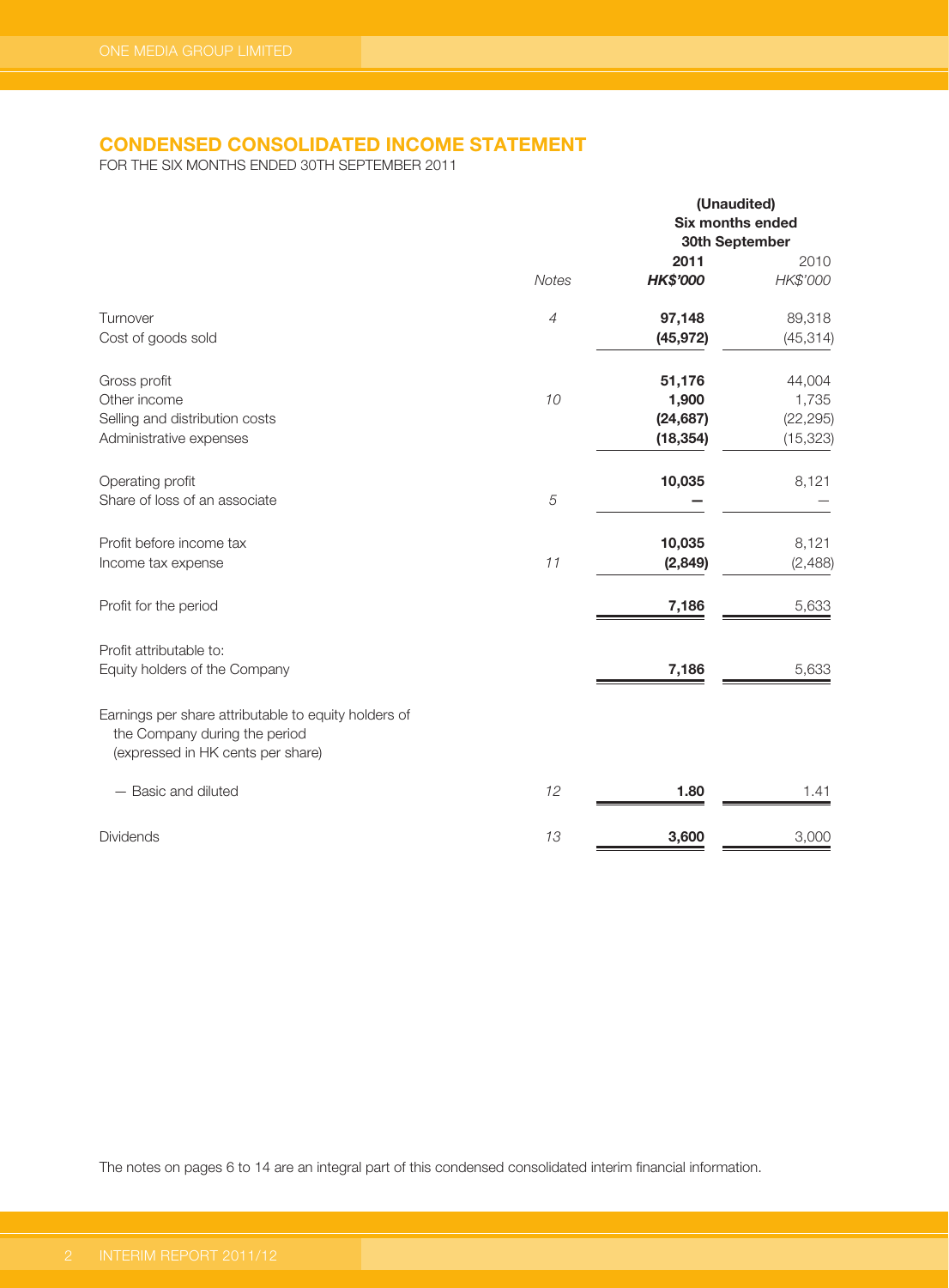# **CONDENSED CONSOLIDATED INCOME STATEMENT**

FOR THE SIX MONTHS ENDED 30TH SEPTEMBER 2011

|                                                                                                                            |                               | (Unaudited)<br>Six months ended<br>30th September |                                           |
|----------------------------------------------------------------------------------------------------------------------------|-------------------------------|---------------------------------------------------|-------------------------------------------|
|                                                                                                                            | <b>Notes</b>                  | 2011<br><b>HK\$'000</b>                           | 2010<br>HK\$'000                          |
| Turnover<br>Cost of goods sold                                                                                             | $\ensuremath{\mathnormal{4}}$ | 97,148<br>(45, 972)                               | 89,318<br>(45, 314)                       |
| Gross profit<br>Other income<br>Selling and distribution costs<br>Administrative expenses                                  | 10                            | 51,176<br>1,900<br>(24, 687)<br>(18, 354)         | 44,004<br>1,735<br>(22, 295)<br>(15, 323) |
| Operating profit<br>Share of loss of an associate                                                                          | $\sqrt{5}$                    | 10,035                                            | 8,121                                     |
| Profit before income tax<br>Income tax expense                                                                             | 11                            | 10,035<br>(2,849)                                 | 8,121<br>(2,488)                          |
| Profit for the period                                                                                                      |                               | 7,186                                             | 5,633                                     |
| Profit attributable to:<br>Equity holders of the Company                                                                   |                               | 7,186                                             | 5,633                                     |
| Earnings per share attributable to equity holders of<br>the Company during the period<br>(expressed in HK cents per share) |                               |                                                   |                                           |
| - Basic and diluted                                                                                                        | 12                            | 1.80                                              | 1.41                                      |
| <b>Dividends</b>                                                                                                           | 13                            | 3,600                                             | 3,000                                     |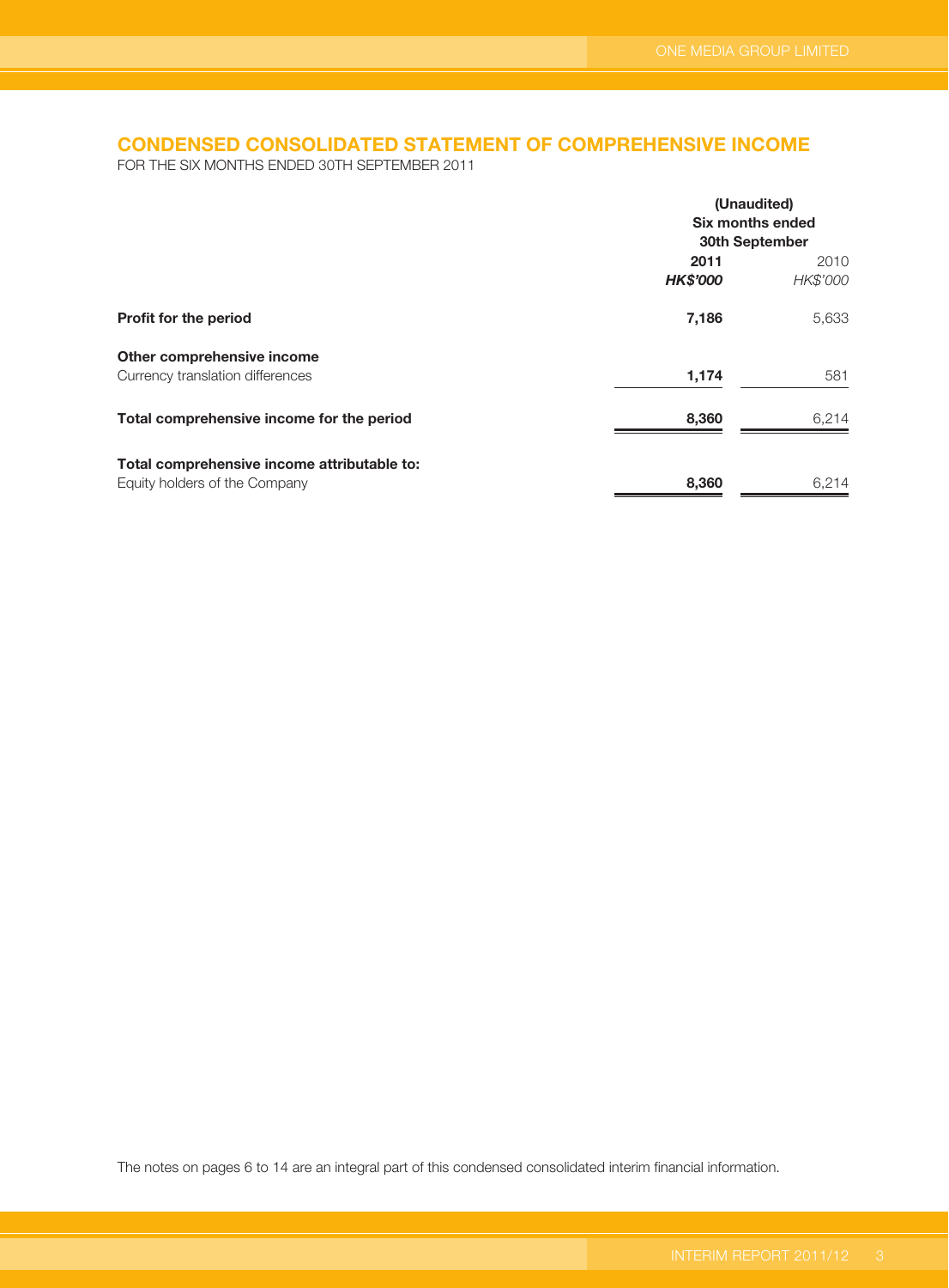# **CONDENSED CONSOLIDATED STATEMENT OF COMPREHENSIVE INCOME**

FOR THE SIX MONTHS ENDED 30TH SEPTEMBER 2011

|                                             | (Unaudited)                        |          |  |
|---------------------------------------------|------------------------------------|----------|--|
|                                             | Six months ended<br>30th September |          |  |
|                                             |                                    |          |  |
|                                             | 2011                               | 2010     |  |
|                                             | <b>HK\$'000</b>                    | HK\$'000 |  |
| Profit for the period                       | 7,186                              | 5,633    |  |
| Other comprehensive income                  |                                    |          |  |
| Currency translation differences            | 1,174                              | 581      |  |
| Total comprehensive income for the period   | 8,360                              | 6,214    |  |
| Total comprehensive income attributable to: |                                    |          |  |
| Equity holders of the Company               | 8,360                              | 6,214    |  |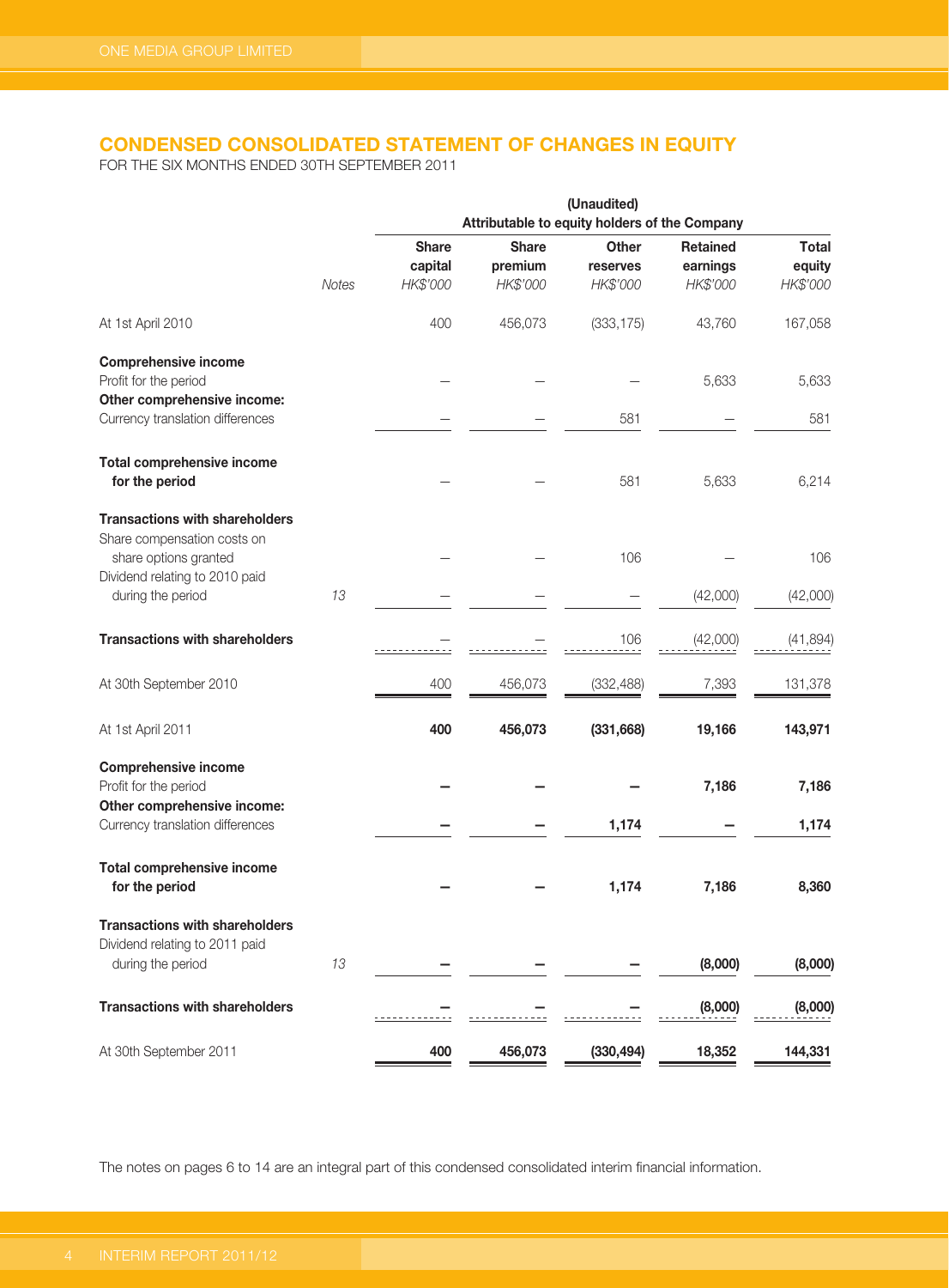# **CONDENSED CONSOLIDATED STATEMENT OF CHANGES IN EQUITY**

FOR THE SIX MONTHS ENDED 30TH SEPTEMBER 2011

|                                                                                               | (Unaudited)<br>Attributable to equity holders of the Company |                         |                         |                          |                             |                        |
|-----------------------------------------------------------------------------------------------|--------------------------------------------------------------|-------------------------|-------------------------|--------------------------|-----------------------------|------------------------|
|                                                                                               |                                                              | <b>Share</b><br>capital | <b>Share</b><br>premium | <b>Other</b><br>reserves | <b>Retained</b><br>earnings | <b>Total</b><br>equity |
|                                                                                               | <b>Notes</b>                                                 | HK\$'000                | HK\$'000                | HK\$'000                 | HK\$'000                    | HK\$'000               |
| At 1st April 2010                                                                             |                                                              | 400                     | 456,073                 | (333, 175)               | 43,760                      | 167,058                |
| <b>Comprehensive income</b><br>Profit for the period<br>Other comprehensive income:           |                                                              |                         |                         |                          | 5,633                       | 5,633                  |
| Currency translation differences                                                              |                                                              |                         |                         | 581                      |                             | 581                    |
| <b>Total comprehensive income</b><br>for the period                                           |                                                              |                         |                         | 581                      | 5,633                       | 6,214                  |
| <b>Transactions with shareholders</b><br>Share compensation costs on<br>share options granted |                                                              |                         |                         | 106                      |                             | 106                    |
| Dividend relating to 2010 paid<br>during the period                                           | 13                                                           |                         |                         |                          | (42,000)                    | (42,000)               |
| <b>Transactions with shareholders</b>                                                         |                                                              |                         |                         | 106                      | (42,000)                    | (41, 894)              |
| At 30th September 2010                                                                        |                                                              | 400                     | 456,073                 | (332, 488)               | 7,393                       | 131,378                |
| At 1st April 2011                                                                             |                                                              | 400                     | 456,073                 | (331, 668)               | 19,166                      | 143,971                |
| <b>Comprehensive income</b><br>Profit for the period                                          |                                                              |                         |                         |                          | 7,186                       | 7,186                  |
| Other comprehensive income:                                                                   |                                                              |                         |                         |                          |                             |                        |
| Currency translation differences                                                              |                                                              |                         |                         | 1,174                    |                             | 1,174                  |
| <b>Total comprehensive income</b><br>for the period                                           |                                                              |                         |                         | 1,174                    | 7,186                       | 8,360                  |
| <b>Transactions with shareholders</b><br>Dividend relating to 2011 paid                       |                                                              |                         |                         |                          |                             |                        |
| during the period                                                                             | 13                                                           |                         |                         |                          | (8,000)                     | (8,000)                |
| <b>Transactions with shareholders</b>                                                         |                                                              |                         |                         |                          | (8,000)                     | (8,000)                |
| At 30th September 2011                                                                        |                                                              | 400                     | 456,073                 | (330, 494)               | 18,352                      | 144,331                |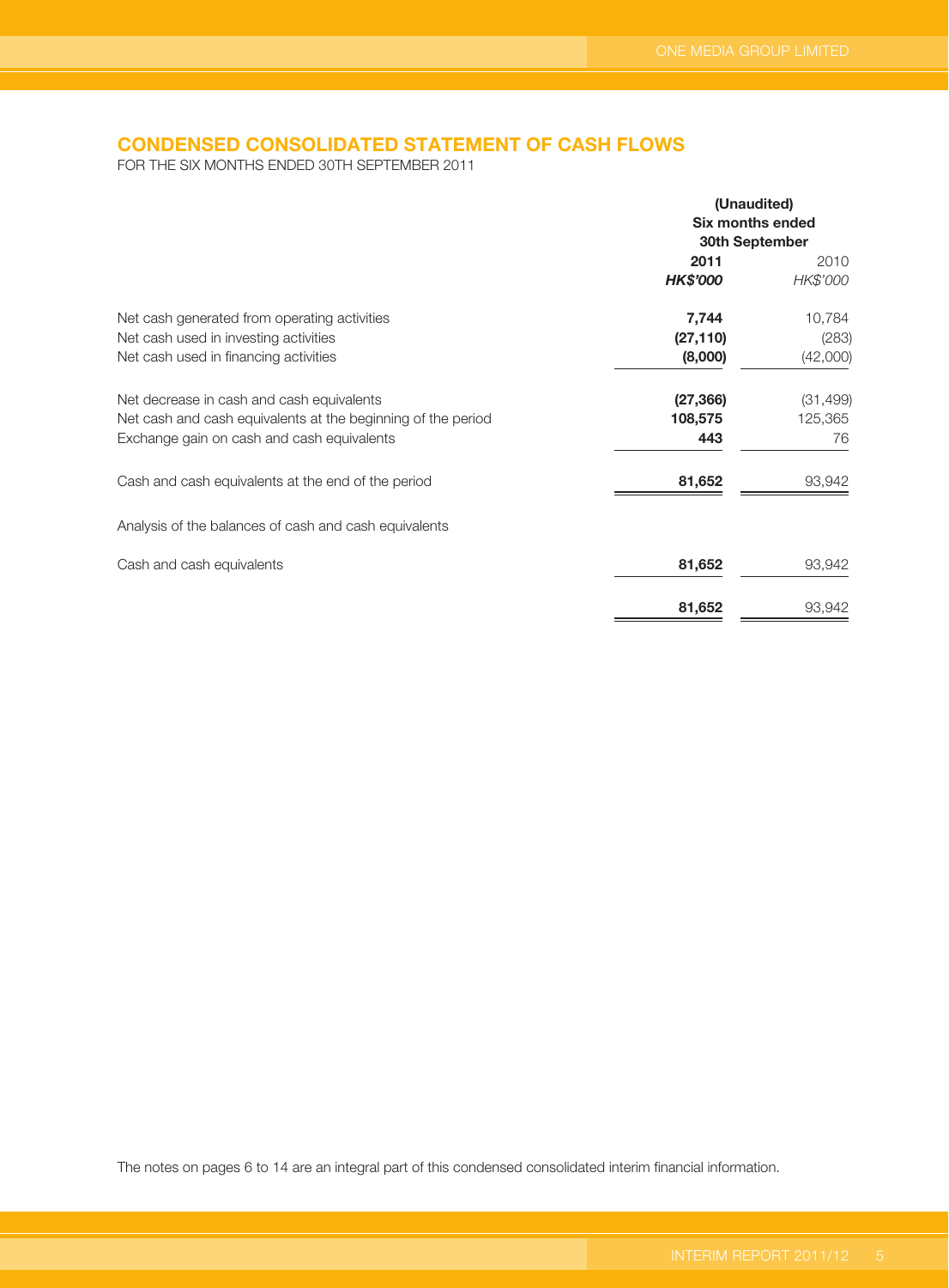# **CONDENSED CONSOLIDATED STATEMENT OF CASH FLOWS**

FOR THE SIX MONTHS ENDED 30TH SEPTEMBER 2011

|                                                              | (Unaudited)             |           |  |
|--------------------------------------------------------------|-------------------------|-----------|--|
|                                                              | <b>Six months ended</b> |           |  |
|                                                              | 30th September          |           |  |
|                                                              | 2011                    | 2010      |  |
|                                                              | <b>HK\$'000</b>         | HK\$'000  |  |
| Net cash generated from operating activities                 | 7,744                   | 10,784    |  |
| Net cash used in investing activities                        | (27, 110)               | (283)     |  |
| Net cash used in financing activities                        | (8,000)                 | (42,000)  |  |
| Net decrease in cash and cash equivalents                    | (27, 366)               | (31, 499) |  |
| Net cash and cash equivalents at the beginning of the period | 108,575                 | 125,365   |  |
| Exchange gain on cash and cash equivalents                   | 443                     | 76        |  |
| Cash and cash equivalents at the end of the period           | 81,652                  | 93,942    |  |
| Analysis of the balances of cash and cash equivalents        |                         |           |  |
| Cash and cash equivalents                                    | 81,652                  | 93,942    |  |
|                                                              | 81,652                  | 93,942    |  |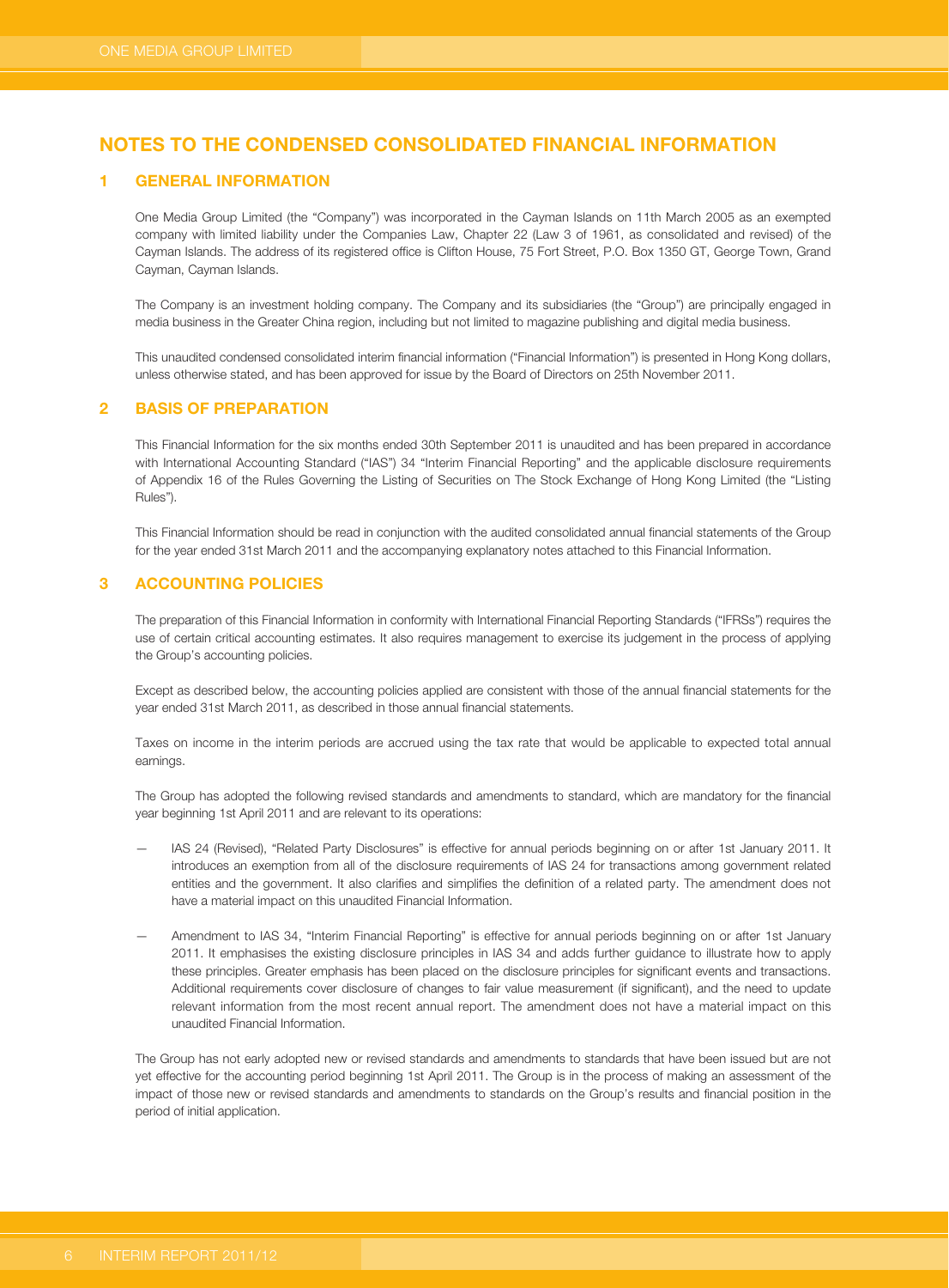#### *<u>GENERAL INFORMATION</u>*

One Media Group Limited (the "Company") was incorporated in the Cayman Islands on 11th March 2005 as an exempted company with limited liability under the Companies Law, Chapter 22 (Law 3 of 1961, as consolidated and revised) of the Cayman Islands. The address of its registered office is Clifton House, 75 Fort Street, P.O. Box 1350 GT, George Town, Grand Cayman, Cayman Islands.

The Company is an investment holding company. The Company and its subsidiaries (the "Group") are principally engaged in media business in the Greater China region, including but not limited to magazine publishing and digital media business.

This unaudited condensed consolidated interim financial information ("Financial Information") is presented in Hong Kong dollars, unless otherwise stated, and has been approved for issue by the Board of Directors on 25th November 2011.

### **2 BASIS OF PREPARATION**

This Financial Information for the six months ended 30th September 2011 is unaudited and has been prepared in accordance with International Accounting Standard ("IAS") 34 "Interim Financial Reporting" and the applicable disclosure requirements of Appendix 16 of the Rules Governing the Listing of Securities on The Stock Exchange of Hong Kong Limited (the "Listing Rules").

This Financial Information should be read in conjunction with the audited consolidated annual financial statements of the Group for the year ended 31st March 2011 and the accompanying explanatory notes attached to this Financial Information.

### **3 ACCOUNTING POLICIES**

The preparation of this Financial Information in conformity with International Financial Reporting Standards ("IFRSs") requires the use of certain critical accounting estimates. It also requires management to exercise its judgement in the process of applying the Group's accounting policies.

Except as described below, the accounting policies applied are consistent with those of the annual financial statements for the year ended 31st March 2011, as described in those annual financial statements.

Taxes on income in the interim periods are accrued using the tax rate that would be applicable to expected total annual earnings.

The Group has adopted the following revised standards and amendments to standard, which are mandatory for the financial year beginning 1st April 2011 and are relevant to its operations:

- IAS 24 (Revised), "Related Party Disclosures" is effective for annual periods beginning on or after 1st January 2011. It introduces an exemption from all of the disclosure requirements of IAS 24 for transactions among government related entities and the government. It also clarifies and simplifies the definition of a related party. The amendment does not have a material impact on this unaudited Financial Information.
- Amendment to IAS 34, "Interim Financial Reporting" is effective for annual periods beginning on or after 1st January 2011. It emphasises the existing disclosure principles in IAS 34 and adds further guidance to illustrate how to apply these principles. Greater emphasis has been placed on the disclosure principles for significant events and transactions. Additional requirements cover disclosure of changes to fair value measurement (if significant), and the need to update relevant information from the most recent annual report. The amendment does not have a material impact on this unaudited Financial Information.

The Group has not early adopted new or revised standards and amendments to standards that have been issued but are not yet effective for the accounting period beginning 1st April 2011. The Group is in the process of making an assessment of the impact of those new or revised standards and amendments to standards on the Group's results and financial position in the period of initial application.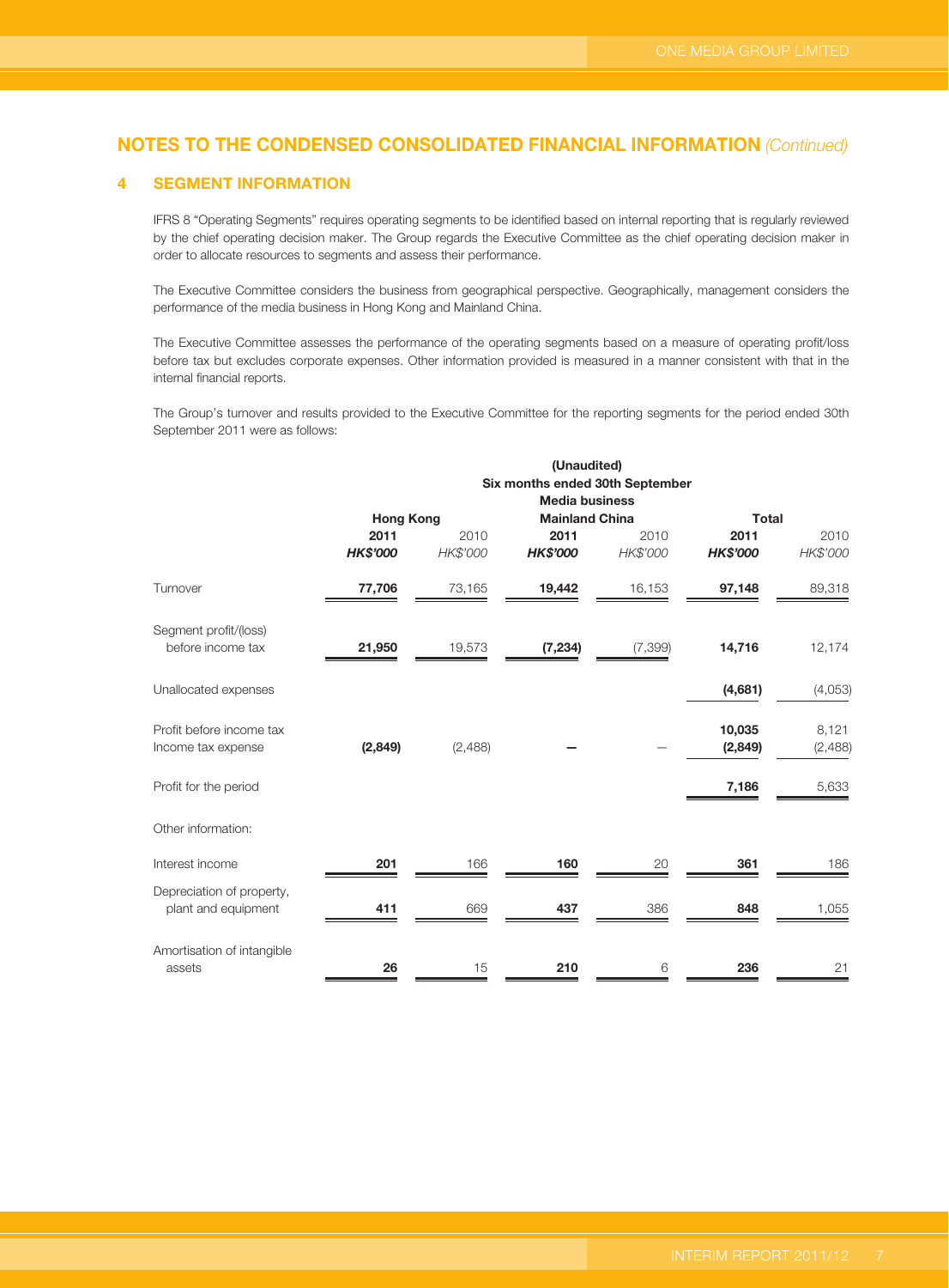### **4 SEGMENT INFORMATION**

IFRS 8 "Operating Segments" requires operating segments to be identified based on internal reporting that is regularly reviewed by the chief operating decision maker. The Group regards the Executive Committee as the chief operating decision maker in order to allocate resources to segments and assess their performance.

The Executive Committee considers the business from geographical perspective. Geographically, management considers the performance of the media business in Hong Kong and Mainland China.

The Executive Committee assesses the performance of the operating segments based on a measure of operating profit/loss before tax but excludes corporate expenses. Other information provided is measured in a manner consistent with that in the internal financial reports.

The Group's turnover and results provided to the Executive Committee for the reporting segments for the period ended 30th September 2011 were as follows:

|                                                  | (Unaudited)<br>Six months ended 30th September |                  |                                                |                  |                         |                  |  |
|--------------------------------------------------|------------------------------------------------|------------------|------------------------------------------------|------------------|-------------------------|------------------|--|
|                                                  | <b>Hong Kong</b>                               |                  | <b>Media business</b><br><b>Mainland China</b> |                  |                         | <b>Total</b>     |  |
|                                                  | 2011<br><b>HK\$'000</b>                        | 2010<br>HK\$'000 | 2011<br><b>HK\$'000</b>                        | 2010<br>HK\$'000 | 2011<br><b>HK\$'000</b> | 2010<br>HK\$'000 |  |
| Turnover                                         | 77,706                                         | 73,165           | 19,442                                         | 16,153           | 97,148                  | 89,318           |  |
| Segment profit/(loss)<br>before income tax       | 21,950                                         | 19,573           | (7, 234)                                       | (7, 399)         | 14,716                  | 12,174           |  |
| Unallocated expenses                             |                                                |                  |                                                |                  | (4,681)                 | (4,053)          |  |
| Profit before income tax<br>Income tax expense   | (2,849)                                        | (2,488)          |                                                |                  | 10,035<br>(2,849)       | 8,121<br>(2,488) |  |
| Profit for the period                            |                                                |                  |                                                |                  | 7,186                   | 5,633            |  |
| Other information:                               |                                                |                  |                                                |                  |                         |                  |  |
| Interest income                                  | 201                                            | 166              | 160                                            | 20               | 361                     | 186              |  |
| Depreciation of property,<br>plant and equipment | 411                                            | 669              | 437                                            | 386              | 848                     | 1,055            |  |
| Amortisation of intangible<br>assets             | 26                                             | 15               | 210                                            | 6                | 236                     | 21               |  |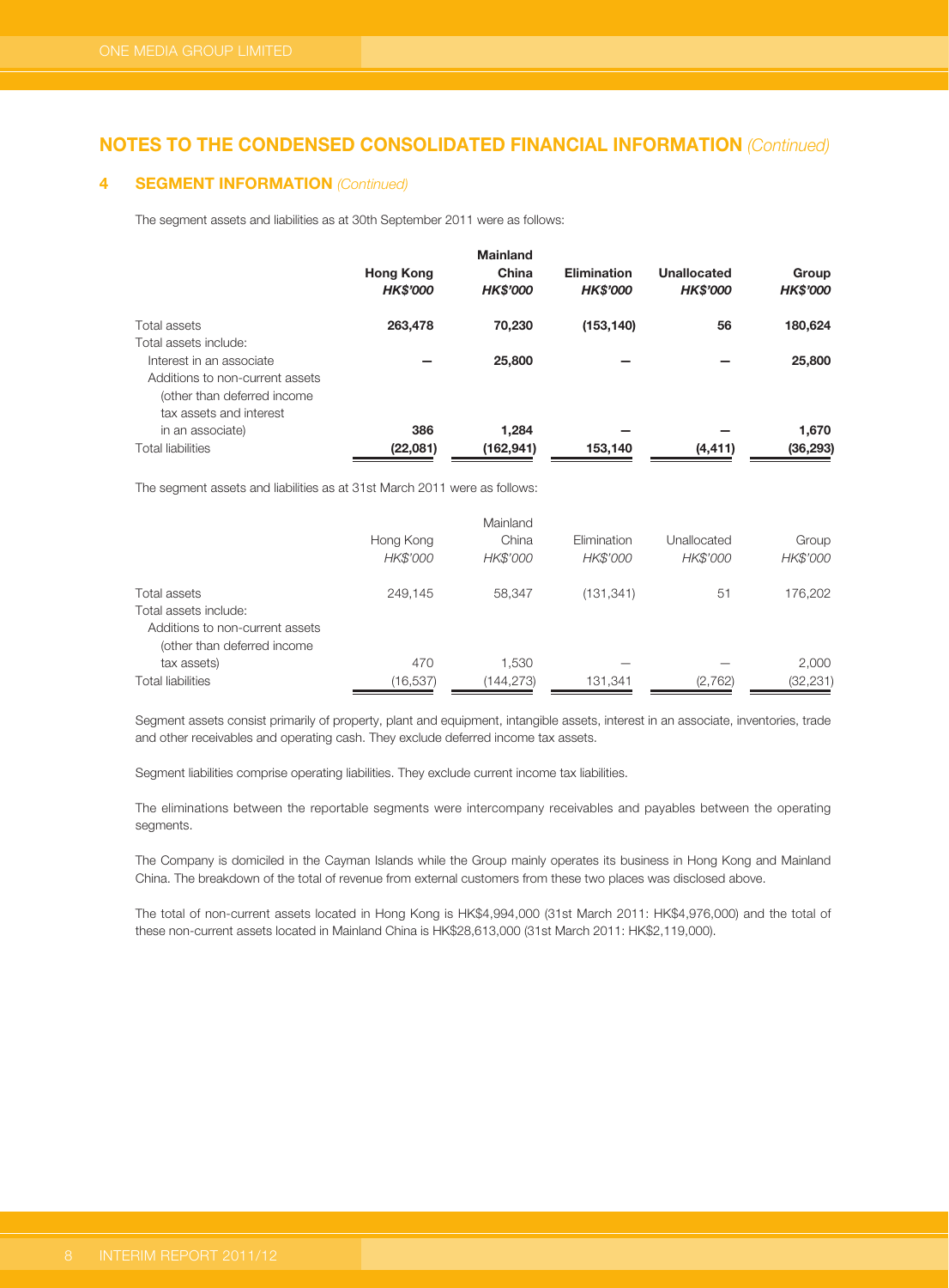#### **4 SEGMENT INFORMATION (Continued)**

The segment assets and liabilities as at 30th September 2011 were as follows:

|                                 | <b>Hong Kong</b><br><b>HK\$'000</b> | <b>Mainland</b><br>China<br><b>HK\$'000</b> | <b>Elimination</b><br><b>HK\$'000</b> | Unallocated<br><b>HK\$'000</b> | Group<br><b>HK\$'000</b> |
|---------------------------------|-------------------------------------|---------------------------------------------|---------------------------------------|--------------------------------|--------------------------|
| Total assets                    | 263,478                             | 70.230                                      | (153, 140)                            | 56                             | 180,624                  |
| Total assets include:           |                                     |                                             |                                       |                                |                          |
| Interest in an associate        |                                     | 25,800                                      |                                       |                                | 25,800                   |
| Additions to non-current assets |                                     |                                             |                                       |                                |                          |
| (other than deferred income     |                                     |                                             |                                       |                                |                          |
| tax assets and interest         |                                     |                                             |                                       |                                |                          |
| in an associate)                | 386                                 | 1.284                                       |                                       |                                | 1,670                    |
| <b>Total liabilities</b>        | (22,081)                            | (162, 941)                                  | 153,140                               | (4, 411)                       | (36, 293)                |

The segment assets and liabilities as at 31st March 2011 were as follows:

|                                 |           | Mainland   |             |             |           |
|---------------------------------|-----------|------------|-------------|-------------|-----------|
|                                 | Hong Kong | China      | Elimination | Unallocated | Group     |
|                                 | HK\$'000  | HK\$'000   | HK\$'000    | HK\$'000    | HK\$'000  |
| Total assets                    | 249.145   | 58.347     | (131, 341)  | 51          | 176,202   |
| Total assets include:           |           |            |             |             |           |
| Additions to non-current assets |           |            |             |             |           |
| (other than deferred income     |           |            |             |             |           |
| tax assets)                     | 470       | 1.530      |             |             | 2,000     |
| <b>Total liabilities</b>        | (16,537)  | (144, 273) | 131,341     | (2,762)     | (32, 231) |

Segment assets consist primarily of property, plant and equipment, intangible assets, interest in an associate, inventories, trade and other receivables and operating cash. They exclude deferred income tax assets.

Segment liabilities comprise operating liabilities. They exclude current income tax liabilities.

The eliminations between the reportable segments were intercompany receivables and payables between the operating segments.

The Company is domiciled in the Cayman Islands while the Group mainly operates its business in Hong Kong and Mainland China. The breakdown of the total of revenue from external customers from these two places was disclosed above.

The total of non-current assets located in Hong Kong is HK\$4,994,000 (31st March 2011: HK\$4,976,000) and the total of these non-current assets located in Mainland China is HK\$28,613,000 (31st March 2011: HK\$2,119,000).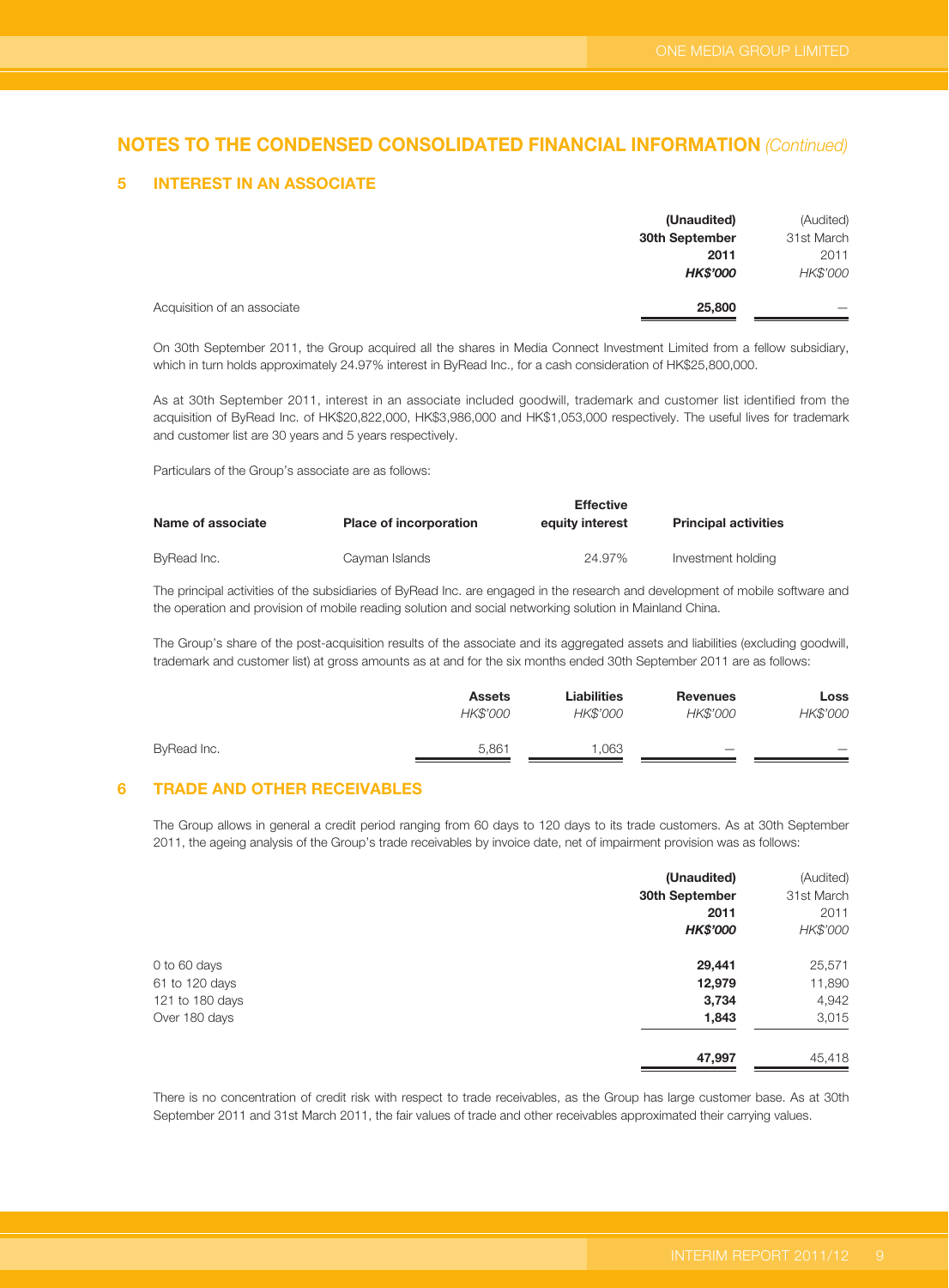#### **5 INTEREST IN AN ASSOCIATE**

|                             | (Unaudited)     | (Audited)  |
|-----------------------------|-----------------|------------|
|                             | 30th September  | 31st March |
|                             | 2011            | 2011       |
|                             | <b>HK\$'000</b> | HK\$'000   |
| Acquisition of an associate | 25,800          |            |

On 30th September 2011, the Group acquired all the shares in Media Connect Investment Limited from a fellow subsidiary, which in turn holds approximately 24.97% interest in ByRead Inc., for a cash consideration of HK\$25,800,000.

As at 30th September 2011, interest in an associate included goodwill, trademark and customer list identified from the acquisition of ByRead Inc. of HK\$20,822,000, HK\$3,986,000 and HK\$1,053,000 respectively. The useful lives for trademark and customer list are 30 years and 5 years respectively.

Particulars of the Group's associate are as follows:

| Name of associate | <b>Place of incorporation</b> | <b>Effective</b><br>equity interest | <b>Principal activities</b> |
|-------------------|-------------------------------|-------------------------------------|-----------------------------|
| ByRead Inc.       | Cayman Islands                | 24.97%                              | Investment holding          |

The principal activities of the subsidiaries of ByRead Inc. are engaged in the research and development of mobile software and the operation and provision of mobile reading solution and social networking solution in Mainland China.

The Group's share of the post-acquisition results of the associate and its aggregated assets and liabilities (excluding goodwill, trademark and customer list) at gross amounts as at and for the six months ended 30th September 2011 are as follows:

|             | <b>Assets</b> | Liabilities | <b>Revenues</b>          | Loss                     |
|-------------|---------------|-------------|--------------------------|--------------------------|
|             | HK\$'000      | HK\$'000    | HK\$'000                 | HK\$'000                 |
| ByRead Inc. | 5.861         | .063        | $\overline{\phantom{a}}$ | $\overline{\phantom{a}}$ |
|             |               |             |                          |                          |

### **6 TRADE AND OTHER RECEIVABLES**

The Group allows in general a credit period ranging from 60 days to 120 days to its trade customers. As at 30th September 2011, the ageing analysis of the Group's trade receivables by invoice date, net of impairment provision was as follows:

|                 | (Unaudited)     | (Audited)  |
|-----------------|-----------------|------------|
|                 | 30th September  | 31st March |
|                 | 2011            | 2011       |
|                 | <b>HK\$'000</b> | HK\$'000   |
| 0 to 60 days    | 29,441          | 25,571     |
| 61 to 120 days  | 12,979          | 11,890     |
| 121 to 180 days | 3,734           | 4,942      |
| Over 180 days   | 1,843           | 3,015      |
|                 | 47,997          | 45,418     |

There is no concentration of credit risk with respect to trade receivables, as the Group has large customer base. As at 30th September 2011 and 31st March 2011, the fair values of trade and other receivables approximated their carrying values.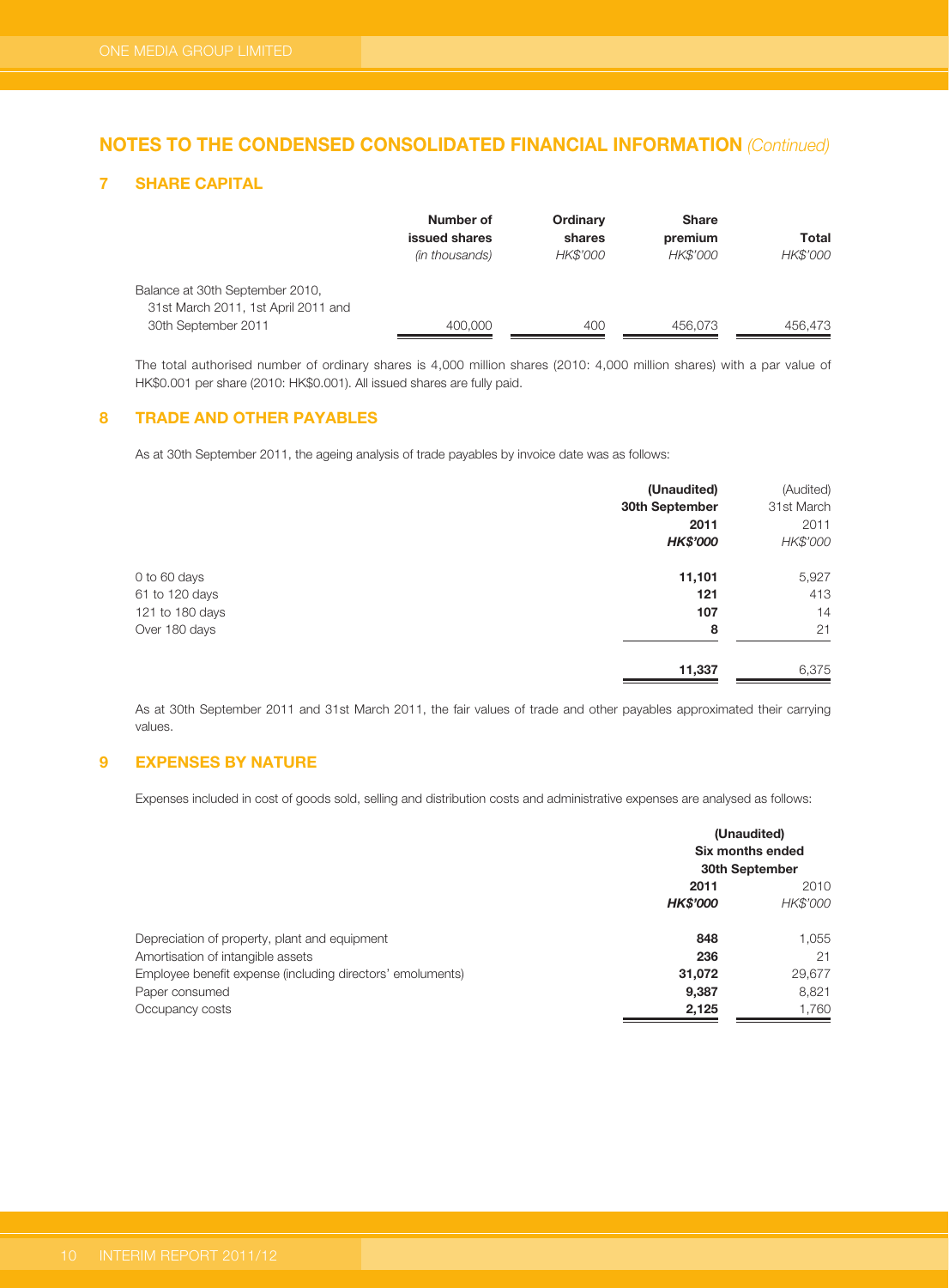### **7 SHARE CAPITAL**

|                                     | Number of<br>issued shares | Ordinary<br>shares | <b>Share</b><br>premium | Total    |
|-------------------------------------|----------------------------|--------------------|-------------------------|----------|
|                                     | (in thousands)             | HK\$'000           | HK\$'000                | HK\$'000 |
| Balance at 30th September 2010,     |                            |                    |                         |          |
| 31st March 2011, 1st April 2011 and |                            |                    |                         |          |
| 30th September 2011                 | 400,000                    | 400                | 456.073                 | 456,473  |

The total authorised number of ordinary shares is 4,000 million shares (2010: 4,000 million shares) with a par value of HK\$0.001 per share (2010: HK\$0.001). All issued shares are fully paid.

### **8 TRADE AND OTHER PAYABLES**

As at 30th September 2011, the ageing analysis of trade payables by invoice date was as follows:

|                 | (Unaudited)     | (Audited)  |
|-----------------|-----------------|------------|
|                 | 30th September  | 31st March |
|                 | 2011            | 2011       |
|                 | <b>HK\$'000</b> | HK\$'000   |
| 0 to 60 days    | 11,101          | 5,927      |
| 61 to 120 days  | 121             | 413        |
| 121 to 180 days | 107             | 14         |
| Over 180 days   | 8               | 21         |
|                 | 11,337          | 6,375      |

As at 30th September 2011 and 31st March 2011, the fair values of trade and other payables approximated their carrying values.

## **9 EXPENSES BY NATURE**

Expenses included in cost of goods sold, selling and distribution costs and administrative expenses are analysed as follows:

| 30th September                                                       |          |
|----------------------------------------------------------------------|----------|
| 2011                                                                 | 2010     |
| <b>HK\$'000</b>                                                      | HK\$'000 |
| Depreciation of property, plant and equipment<br>848                 | 1,055    |
| Amortisation of intangible assets<br>236                             | 21       |
| Employee benefit expense (including directors' emoluments)<br>31,072 | 29,677   |
| Paper consumed<br>9,387                                              | 8,821    |
| Occupancy costs<br>2,125                                             | 1,760    |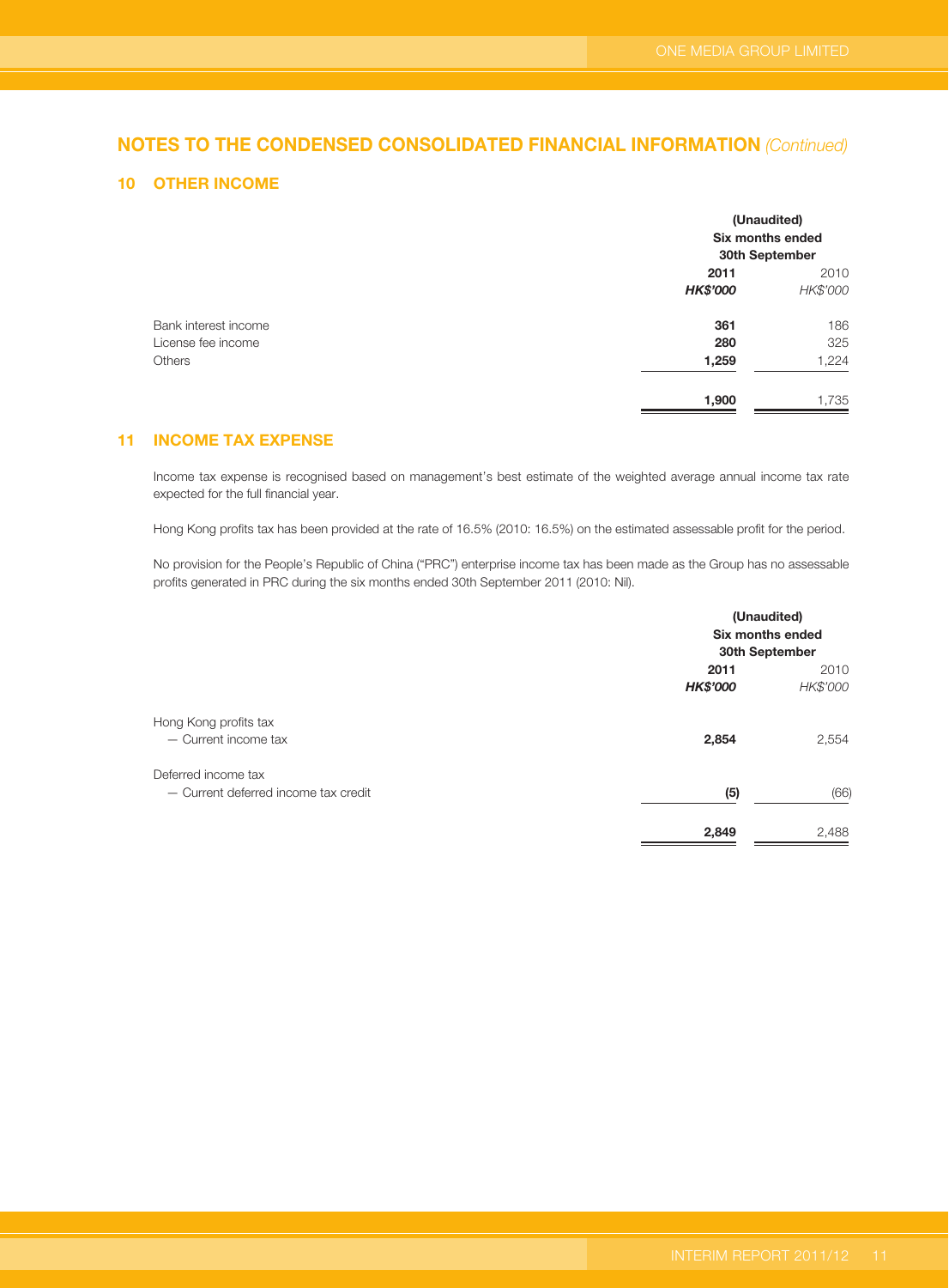### **10 OTHER INCOME**

|                      |                 | (Unaudited)<br>Six months ended<br>30th September |
|----------------------|-----------------|---------------------------------------------------|
|                      | 2011            | 2010                                              |
|                      | <b>HK\$'000</b> | HK\$'000                                          |
| Bank interest income | 361             | 186                                               |
| License fee income   | 280             | 325                                               |
| <b>Others</b>        | 1,259           | 1,224                                             |
|                      | 1,900           | 1,735                                             |

### **11 INCOME TAX EXPENSE**

Income tax expense is recognised based on management's best estimate of the weighted average annual income tax rate expected for the full financial year.

Hong Kong profits tax has been provided at the rate of 16.5% (2010: 16.5%) on the estimated assessable profit for the period.

No provision for the People's Republic of China ("PRC") enterprise income tax has been made as the Group has no assessable profits generated in PRC during the six months ended 30th September 2011 (2010: Nil).

|                                                             |                         | (Unaudited)<br>Six months ended<br>30th September |
|-------------------------------------------------------------|-------------------------|---------------------------------------------------|
|                                                             | 2011<br><b>HK\$'000</b> | 2010<br>HK\$'000                                  |
| Hong Kong profits tax<br>- Current income tax               | 2,854                   | 2,554                                             |
| Deferred income tax<br>- Current deferred income tax credit | (5)                     | (66)                                              |
|                                                             | 2,849                   | 2,488                                             |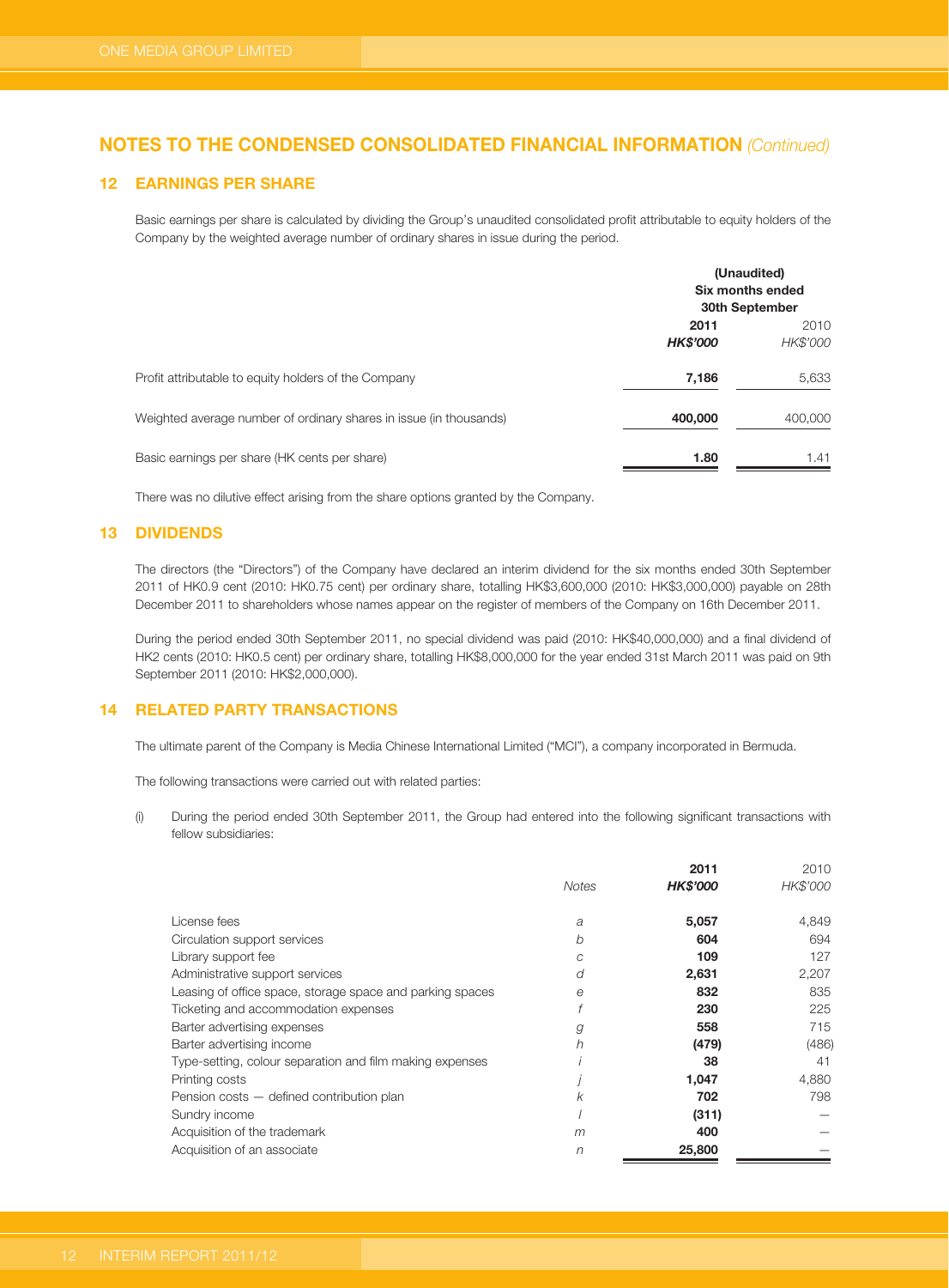#### **12 EARNINGS PER SHARE**

Basic earnings per share is calculated by dividing the Group's unaudited consolidated profit attributable to equity holders of the Company by the weighted average number of ordinary shares in issue during the period.

|                                                                    |                         | (Unaudited)<br>Six months ended<br>30th September |
|--------------------------------------------------------------------|-------------------------|---------------------------------------------------|
|                                                                    | 2011<br><b>HK\$'000</b> |                                                   |
| Profit attributable to equity holders of the Company               | 7,186                   | 5,633                                             |
| Weighted average number of ordinary shares in issue (in thousands) | 400,000                 | 400,000                                           |
| Basic earnings per share (HK cents per share)                      | 1.80                    | 1.41                                              |

There was no dilutive effect arising from the share options granted by the Company.

#### **13 DIVIDENDS**

The directors (the "Directors") of the Company have declared an interim dividend for the six months ended 30th September 2011 of HK0.9 cent (2010: HK0.75 cent) per ordinary share, totalling HK\$3,600,000 (2010: HK\$3,000,000) payable on 28th December 2011 to shareholders whose names appear on the register of members of the Company on 16th December 2011.

During the period ended 30th September 2011, no special dividend was paid (2010: HK\$40,000,000) and a final dividend of HK2 cents (2010: HK0.5 cent) per ordinary share, totalling HK\$8,000,000 for the year ended 31st March 2011 was paid on 9th September 2011 (2010: HK\$2,000,000).

### **14 RELATED PARTY TRANSACTIONS**

The ultimate parent of the Company is Media Chinese International Limited ("MCI"), a company incorporated in Bermuda.

The following transactions were carried out with related parties:

(i) During the period ended 30th September 2011, the Group had entered into the following significant transactions with fellow subsidiaries:

|                                                           |       | 2011            | 2010     |
|-----------------------------------------------------------|-------|-----------------|----------|
|                                                           | Notes | <b>HK\$'000</b> | HK\$'000 |
| License fees                                              | a     | 5,057           | 4,849    |
| Circulation support services                              | b     | 604             | 694      |
| Library support fee                                       | C     | 109             | 127      |
| Administrative support services                           | d     | 2,631           | 2,207    |
| Leasing of office space, storage space and parking spaces | e     | 832             | 835      |
| Ticketing and accommodation expenses                      | f     | 230             | 225      |
| Barter advertising expenses                               | g     | 558             | 715      |
| Barter advertising income                                 | h     | (479)           | (486)    |
| Type-setting, colour separation and film making expenses  |       | 38              | 41       |
| Printing costs                                            |       | 1,047           | 4,880    |
| Pension costs - defined contribution plan                 | k     | 702             | 798      |
| Sundry income                                             |       | (311)           |          |
| Acquisition of the trademark                              | m     | 400             |          |
| Acquisition of an associate                               | n     | 25,800          |          |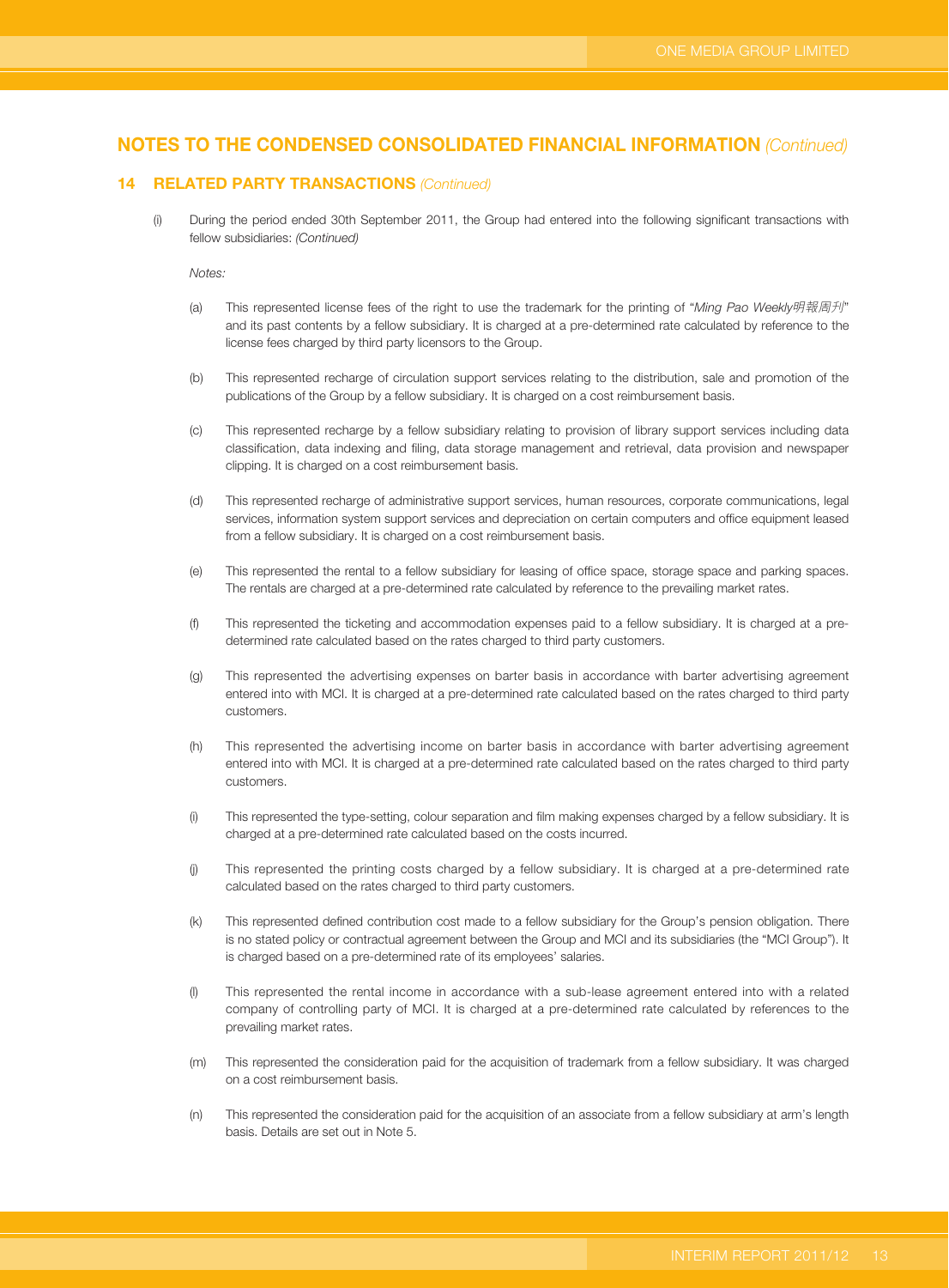#### **14 RELATED PARTY TRANSACTIONS (Continued)**

(i) During the period ended 30th September 2011, the Group had entered into the following significant transactions with fellow subsidiaries: (Continued)

Notes:

- (a) This represented license fees of the right to use the trademark for the printing of "Ming Pao Weekly明報周刋" and its past contents by a fellow subsidiary. It is charged at a pre-determined rate calculated by reference to the license fees charged by third party licensors to the Group.
- (b) This represented recharge of circulation support services relating to the distribution, sale and promotion of the publications of the Group by a fellow subsidiary. It is charged on a cost reimbursement basis.
- (c) This represented recharge by a fellow subsidiary relating to provision of library support services including data classification, data indexing and filing, data storage management and retrieval, data provision and newspaper clipping. It is charged on a cost reimbursement basis.
- (d) This represented recharge of administrative support services, human resources, corporate communications, legal services, information system support services and depreciation on certain computers and office equipment leased from a fellow subsidiary. It is charged on a cost reimbursement basis.
- (e) This represented the rental to a fellow subsidiary for leasing of office space, storage space and parking spaces. The rentals are charged at a pre-determined rate calculated by reference to the prevailing market rates.
- (f) This represented the ticketing and accommodation expenses paid to a fellow subsidiary. It is charged at a predetermined rate calculated based on the rates charged to third party customers.
- (g) This represented the advertising expenses on barter basis in accordance with barter advertising agreement entered into with MCI. It is charged at a pre-determined rate calculated based on the rates charged to third party customers.
- (h) This represented the advertising income on barter basis in accordance with barter advertising agreement entered into with MCI. It is charged at a pre-determined rate calculated based on the rates charged to third party customers.
- (i) This represented the type-setting, colour separation and film making expenses charged by a fellow subsidiary. It is charged at a pre-determined rate calculated based on the costs incurred.
- (j) This represented the printing costs charged by a fellow subsidiary. It is charged at a pre-determined rate calculated based on the rates charged to third party customers.
- (k) This represented defined contribution cost made to a fellow subsidiary for the Group's pension obligation. There is no stated policy or contractual agreement between the Group and MCI and its subsidiaries (the "MCI Group"). It is charged based on a pre-determined rate of its employees' salaries.
- (l) This represented the rental income in accordance with a sub-lease agreement entered into with a related company of controlling party of MCI. It is charged at a pre-determined rate calculated by references to the prevailing market rates.
- (m) This represented the consideration paid for the acquisition of trademark from a fellow subsidiary. It was charged on a cost reimbursement basis.
- (n) This represented the consideration paid for the acquisition of an associate from a fellow subsidiary at arm's length basis. Details are set out in Note 5.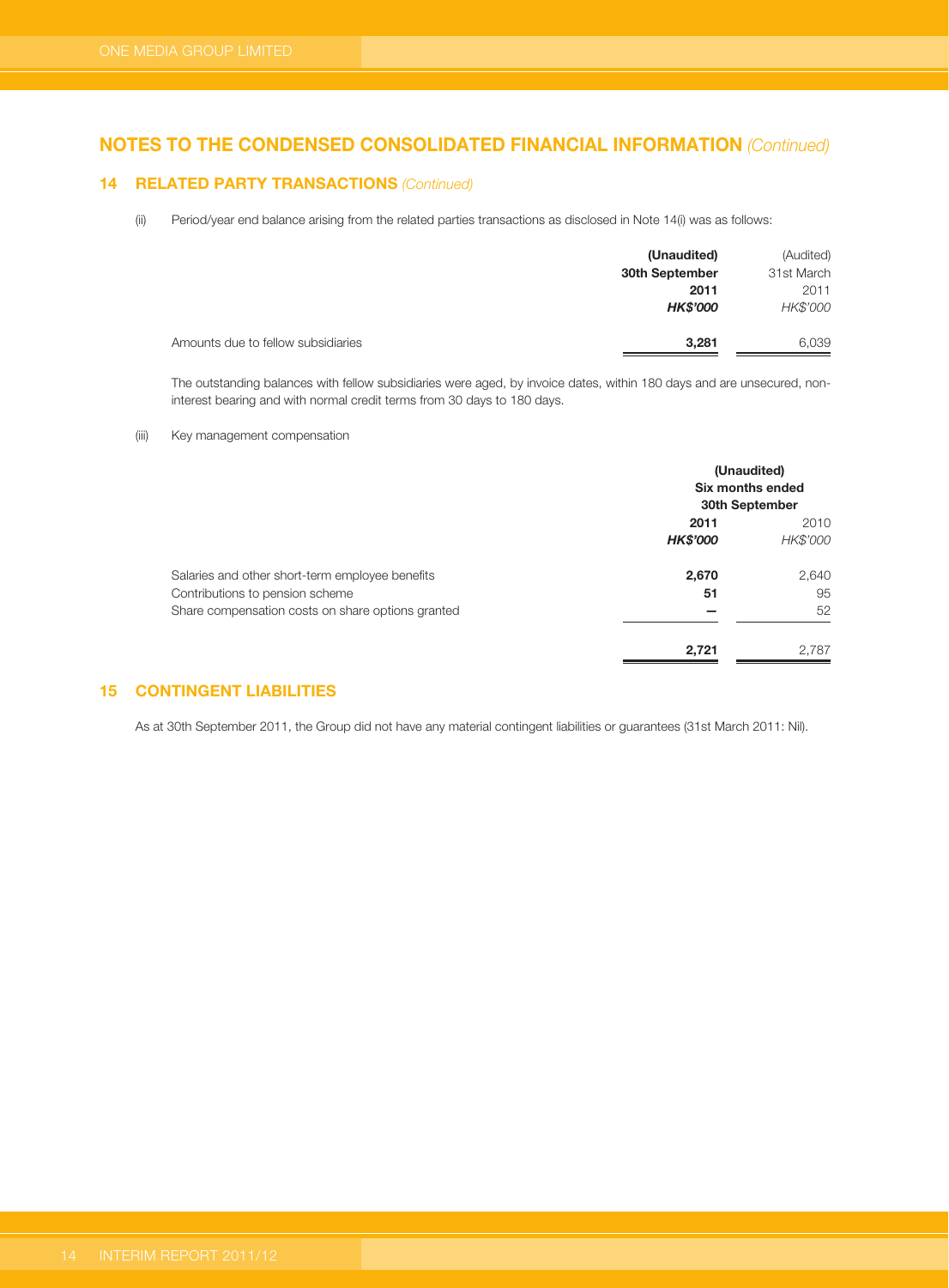#### **14 RELATED PARTY TRANSACTIONS (Continued)**

(ii) Period/year end balance arising from the related parties transactions as disclosed in Note 14(i) was as follows:

|                                    | (Unaudited)     | (Audited)  |
|------------------------------------|-----------------|------------|
|                                    | 30th September  | 31st March |
|                                    | 2011            | 2011       |
|                                    | <b>HK\$'000</b> | HK\$'000   |
| Amounts due to fellow subsidiaries | 3,281           | 6,039      |

The outstanding balances with fellow subsidiaries were aged, by invoice dates, within 180 days and are unsecured, noninterest bearing and with normal credit terms from 30 days to 180 days.

#### (iii) Key management compensation

|                                                   |                 | (Unaudited)<br>Six months ended<br>30th September |
|---------------------------------------------------|-----------------|---------------------------------------------------|
|                                                   | 2011            |                                                   |
|                                                   | <b>HK\$'000</b> | HK\$'000                                          |
| Salaries and other short-term employee benefits   | 2,670           | 2,640                                             |
| Contributions to pension scheme                   | 51              | 95                                                |
| Share compensation costs on share options granted |                 | 52                                                |
|                                                   | 2.721           | 2.787                                             |

### **15 CONTINGENT LIABILITIES**

As at 30th September 2011, the Group did not have any material contingent liabilities or guarantees (31st March 2011: Nil).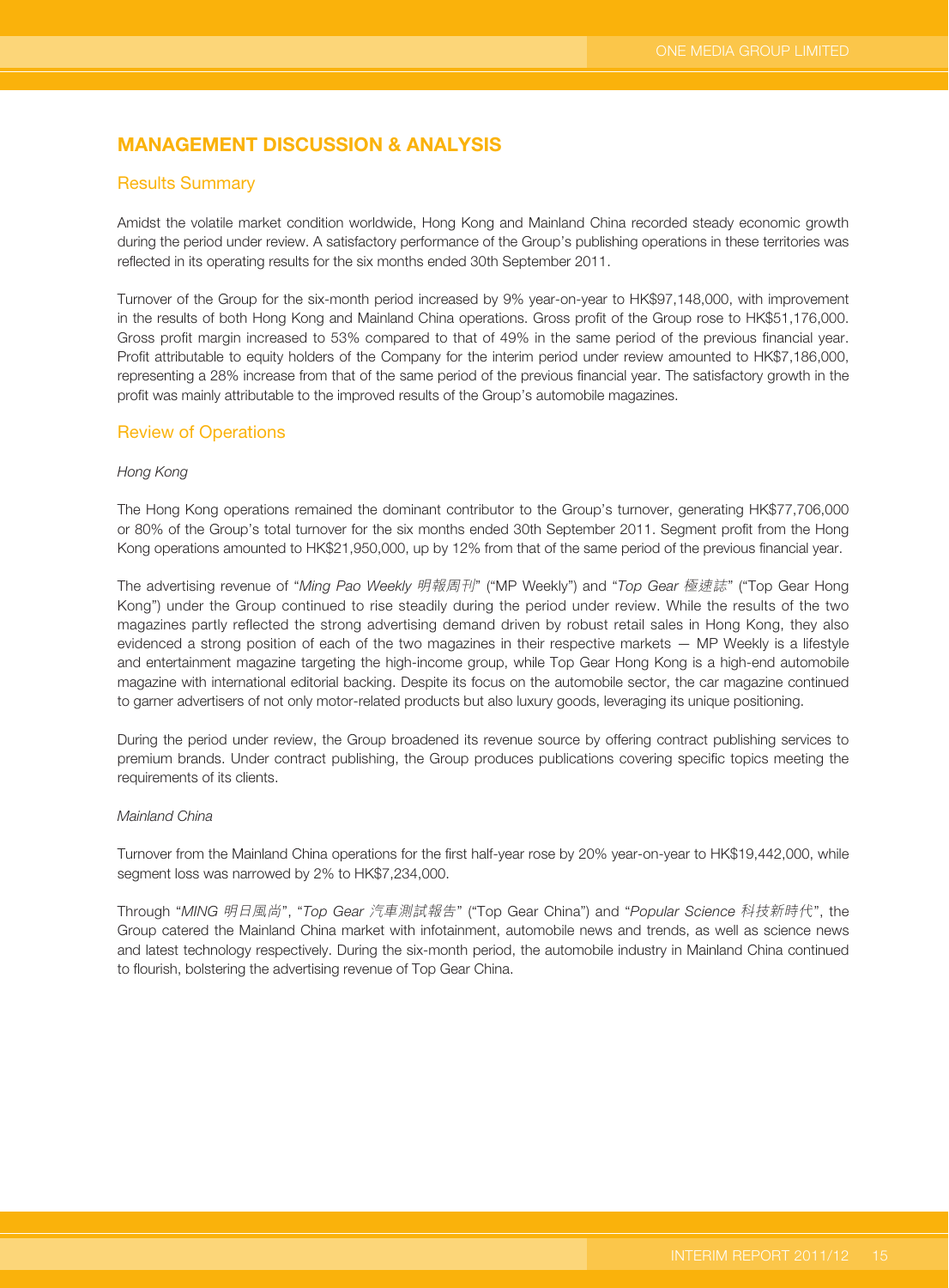# **MANAGEMENT DISCUSSION & ANALYSIS**

#### Results Summary

Amidst the volatile market condition worldwide, Hong Kong and Mainland China recorded steady economic growth during the period under review. A satisfactory performance of the Group's publishing operations in these territories was reflected in its operating results for the six months ended 30th September 2011.

Turnover of the Group for the six-month period increased by 9% year-on-year to HK\$97,148,000, with improvement in the results of both Hong Kong and Mainland China operations. Gross profit of the Group rose to HK\$51,176,000. Gross profit margin increased to 53% compared to that of 49% in the same period of the previous financial year. Profit attributable to equity holders of the Company for the interim period under review amounted to HK\$7,186,000, representing a 28% increase from that of the same period of the previous financial year. The satisfactory growth in the profit was mainly attributable to the improved results of the Group's automobile magazines.

#### Review of Operations

#### Hong Kong

The Hong Kong operations remained the dominant contributor to the Group's turnover, generating HK\$77,706,000 or 80% of the Group's total turnover for the six months ended 30th September 2011. Segment profit from the Hong Kong operations amounted to HK\$21,950,000, up by 12% from that of the same period of the previous financial year.

The advertising revenue of "Ming Pao Weekly 明報周刊" ("MP Weekly") and "Top Gear 極速誌" ("Top Gear Hong Kong") under the Group continued to rise steadily during the period under review. While the results of the two magazines partly reflected the strong advertising demand driven by robust retail sales in Hong Kong, they also evidenced a strong position of each of the two magazines in their respective markets — MP Weekly is a lifestyle and entertainment magazine targeting the high-income group, while Top Gear Hong Kong is a high-end automobile magazine with international editorial backing. Despite its focus on the automobile sector, the car magazine continued to garner advertisers of not only motor-related products but also luxury goods, leveraging its unique positioning.

During the period under review, the Group broadened its revenue source by offering contract publishing services to premium brands. Under contract publishing, the Group produces publications covering specific topics meeting the requirements of its clients.

#### Mainland China

Turnover from the Mainland China operations for the first half-year rose by 20% year-on-year to HK\$19,442,000, while segment loss was narrowed by 2% to HK\$7,234,000.

Through "MING 明日風尚", "Top Gear 汽車測試報告" ("Top Gear China") and "Popular Science 科技新時代", the Group catered the Mainland China market with infotainment, automobile news and trends, as well as science news and latest technology respectively. During the six-month period, the automobile industry in Mainland China continued to flourish, bolstering the advertising revenue of Top Gear China.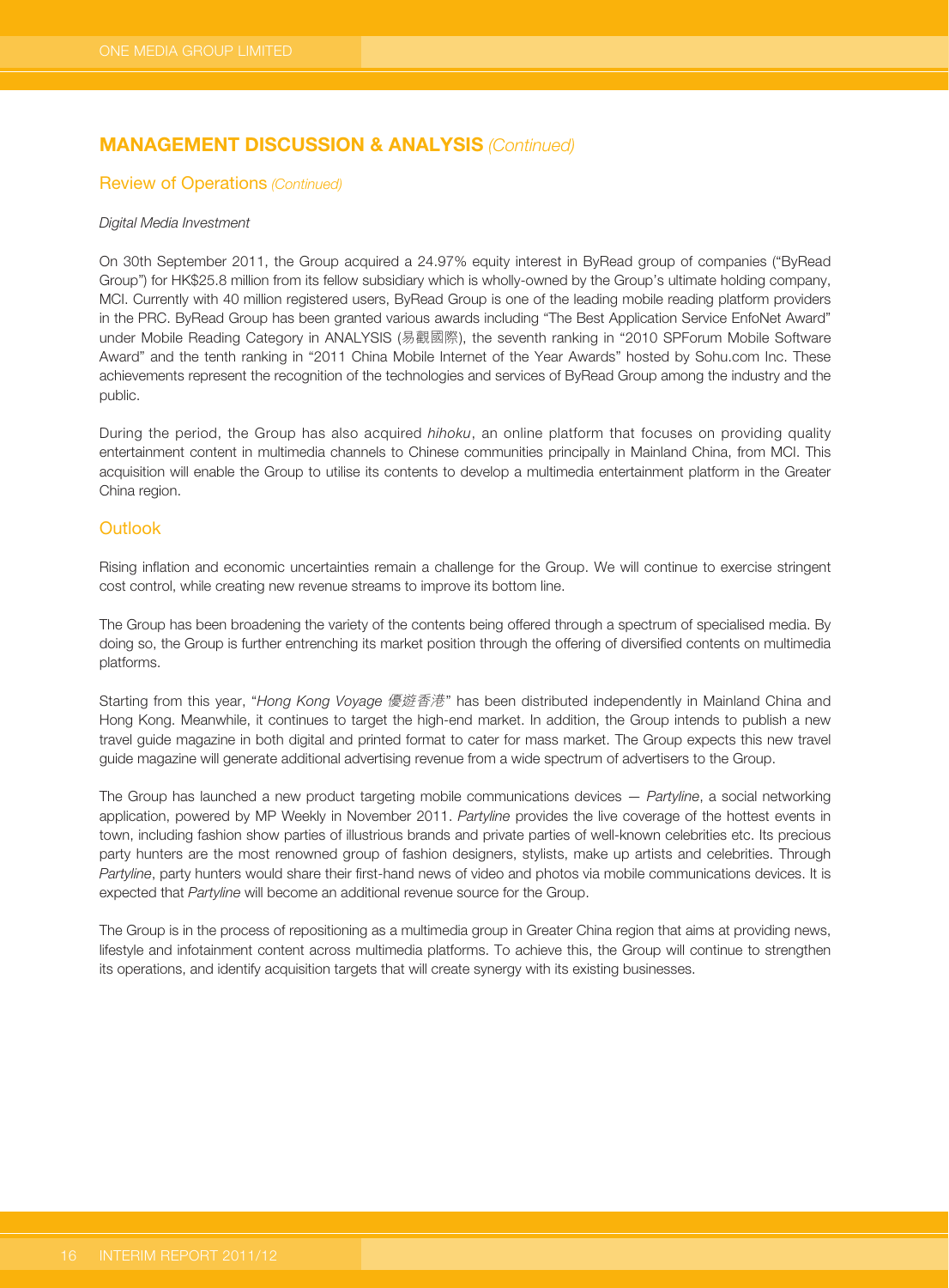# **MANAGEMENT DISCUSSION & ANALYSIS (Continued)**

#### Review of Operations (Continued)

#### Digital Media Investment

On 30th September 2011, the Group acquired a 24.97% equity interest in ByRead group of companies ("ByRead Group") for HK\$25.8 million from its fellow subsidiary which is wholly-owned by the Group's ultimate holding company, MCI. Currently with 40 million registered users, ByRead Group is one of the leading mobile reading platform providers in the PRC. ByRead Group has been granted various awards including "The Best Application Service EnfoNet Award" under Mobile Reading Category in ANALYSIS (易觀國際), the seventh ranking in "2010 SPForum Mobile Software Award" and the tenth ranking in "2011 China Mobile Internet of the Year Awards" hosted by Sohu.com Inc. These achievements represent the recognition of the technologies and services of ByRead Group among the industry and the public.

During the period, the Group has also acquired hihoku, an online platform that focuses on providing quality entertainment content in multimedia channels to Chinese communities principally in Mainland China, from MCI. This acquisition will enable the Group to utilise its contents to develop a multimedia entertainment platform in the Greater China region.

### **Outlook**

Rising inflation and economic uncertainties remain a challenge for the Group. We will continue to exercise stringent cost control, while creating new revenue streams to improve its bottom line.

The Group has been broadening the variety of the contents being offered through a spectrum of specialised media. By doing so, the Group is further entrenching its market position through the offering of diversified contents on multimedia platforms.

Starting from this year, "Hong Kong Voyage 優遊香港" has been distributed independently in Mainland China and Hong Kong. Meanwhile, it continues to target the high-end market. In addition, the Group intends to publish a new travel guide magazine in both digital and printed format to cater for mass market. The Group expects this new travel guide magazine will generate additional advertising revenue from a wide spectrum of advertisers to the Group.

The Group has launched a new product targeting mobile communications devices — Partyline, a social networking application, powered by MP Weekly in November 2011. Partyline provides the live coverage of the hottest events in town, including fashion show parties of illustrious brands and private parties of well-known celebrities etc. Its precious party hunters are the most renowned group of fashion designers, stylists, make up artists and celebrities. Through Partyline, party hunters would share their first-hand news of video and photos via mobile communications devices. It is expected that Partyline will become an additional revenue source for the Group.

The Group is in the process of repositioning as a multimedia group in Greater China region that aims at providing news, lifestyle and infotainment content across multimedia platforms. To achieve this, the Group will continue to strengthen its operations, and identify acquisition targets that will create synergy with its existing businesses.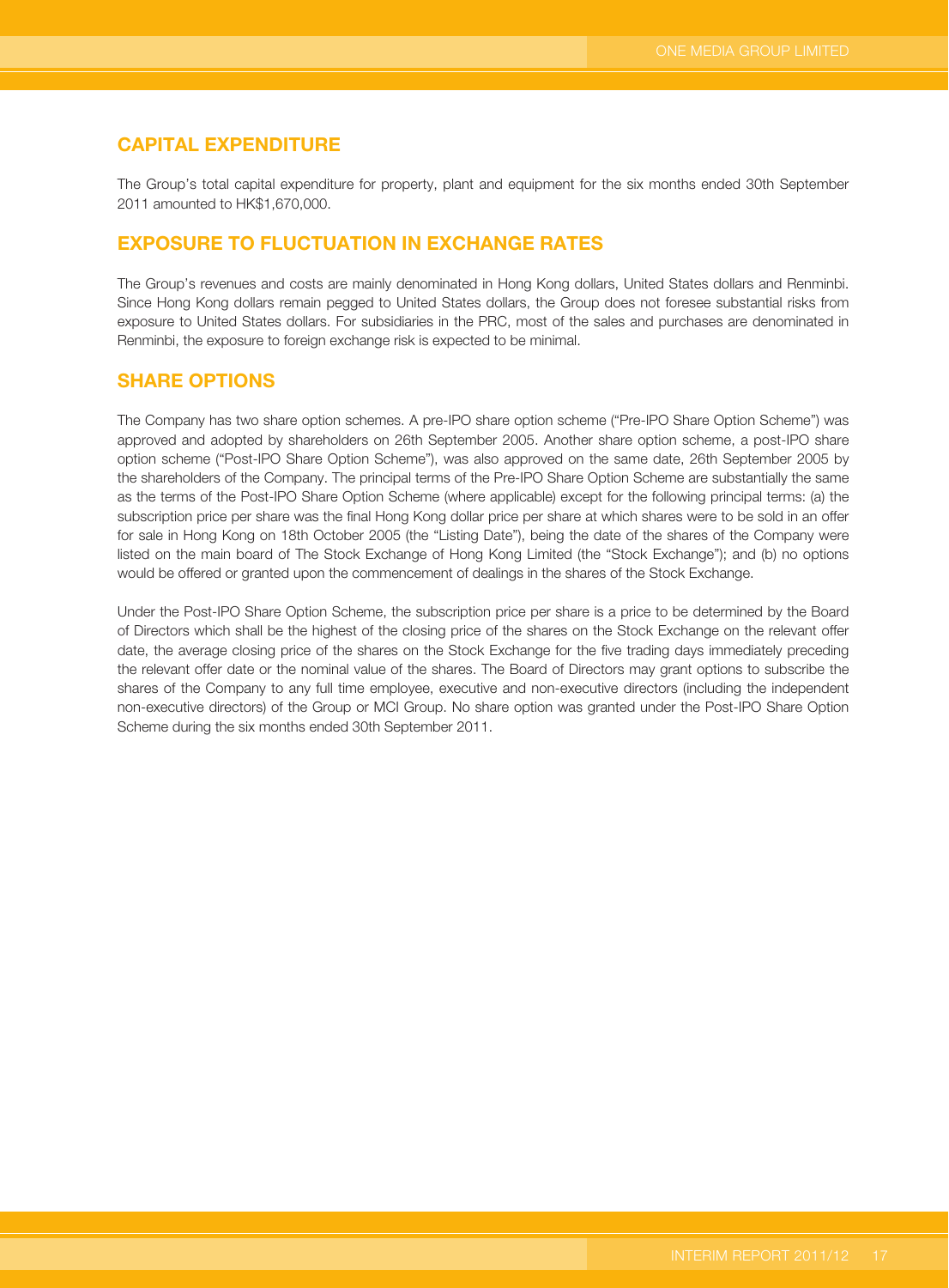## **CAPITAL EXPENDITURE**

The Group's total capital expenditure for property, plant and equipment for the six months ended 30th September 2011 amounted to HK\$1,670,000.

## **EXPOSURE TO FLUCTUATION IN EXCHANGE RATES**

The Group's revenues and costs are mainly denominated in Hong Kong dollars, United States dollars and Renminbi. Since Hong Kong dollars remain pegged to United States dollars, the Group does not foresee substantial risks from exposure to United States dollars. For subsidiaries in the PRC, most of the sales and purchases are denominated in Renminbi, the exposure to foreign exchange risk is expected to be minimal.

## **SHARE OPTIONS**

The Company has two share option schemes. A pre-IPO share option scheme ("Pre-IPO Share Option Scheme") was approved and adopted by shareholders on 26th September 2005. Another share option scheme, a post-IPO share option scheme ("Post-IPO Share Option Scheme"), was also approved on the same date, 26th September 2005 by the shareholders of the Company. The principal terms of the Pre-IPO Share Option Scheme are substantially the same as the terms of the Post-IPO Share Option Scheme (where applicable) except for the following principal terms: (a) the subscription price per share was the final Hong Kong dollar price per share at which shares were to be sold in an offer for sale in Hong Kong on 18th October 2005 (the "Listing Date"), being the date of the shares of the Company were listed on the main board of The Stock Exchange of Hong Kong Limited (the "Stock Exchange"); and (b) no options would be offered or granted upon the commencement of dealings in the shares of the Stock Exchange.

Under the Post-IPO Share Option Scheme, the subscription price per share is a price to be determined by the Board of Directors which shall be the highest of the closing price of the shares on the Stock Exchange on the relevant offer date, the average closing price of the shares on the Stock Exchange for the five trading days immediately preceding the relevant offer date or the nominal value of the shares. The Board of Directors may grant options to subscribe the shares of the Company to any full time employee, executive and non-executive directors (including the independent non-executive directors) of the Group or MCI Group. No share option was granted under the Post-IPO Share Option Scheme during the six months ended 30th September 2011.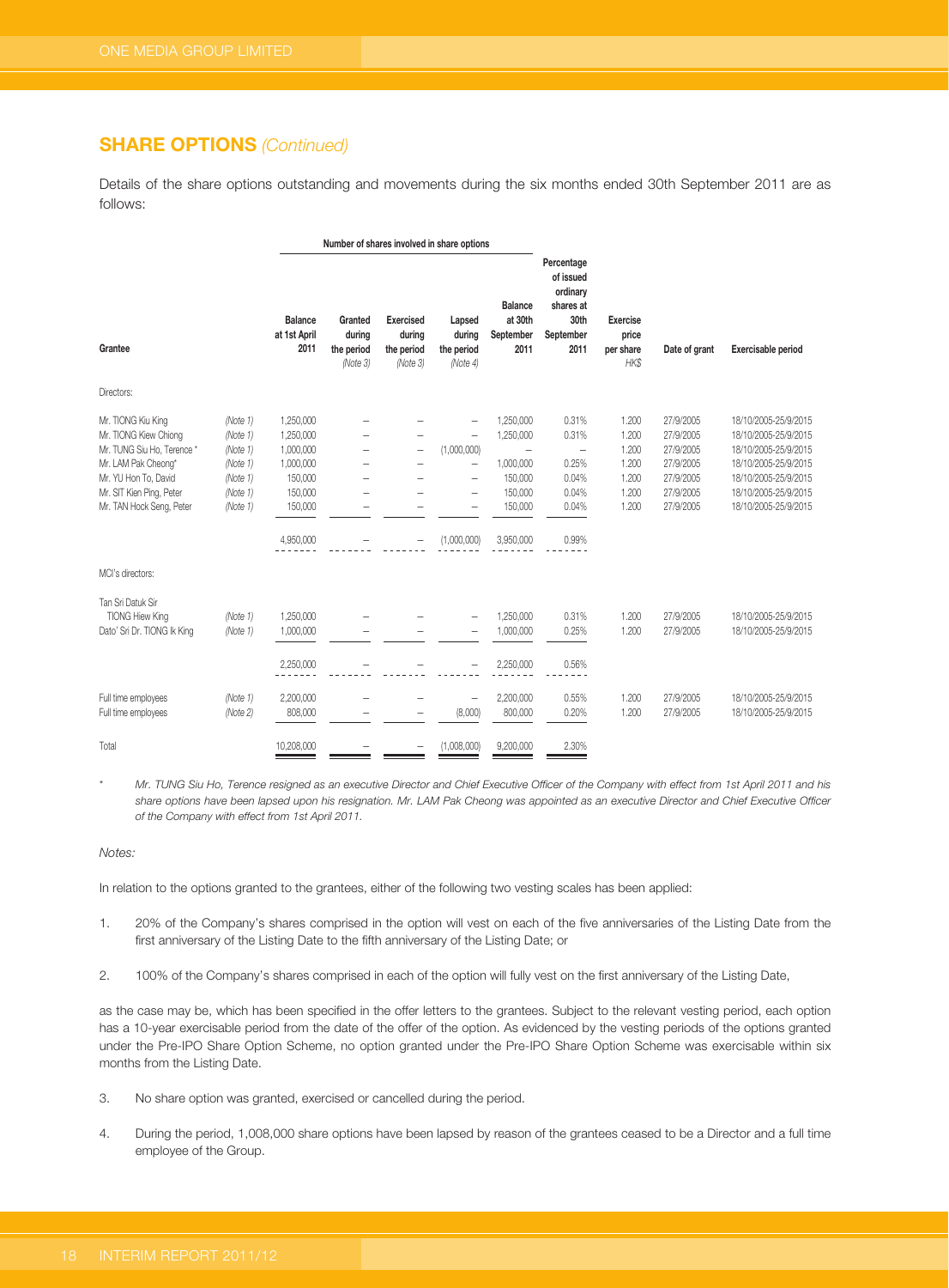## **SHARE OPTIONS** (Continued)

Details of the share options outstanding and movements during the six months ended 30th September 2011 are as follows:

|                                                                                                                                                                                  |                                                                                  |                                                                                                | Number of shares involved in share options  |                                                      |                                                                                                                                                                 |                                                                                                               |                                                                               |                                                             |                                                                                         |                                                                                                                                                                      |
|----------------------------------------------------------------------------------------------------------------------------------------------------------------------------------|----------------------------------------------------------------------------------|------------------------------------------------------------------------------------------------|---------------------------------------------|------------------------------------------------------|-----------------------------------------------------------------------------------------------------------------------------------------------------------------|---------------------------------------------------------------------------------------------------------------|-------------------------------------------------------------------------------|-------------------------------------------------------------|-----------------------------------------------------------------------------------------|----------------------------------------------------------------------------------------------------------------------------------------------------------------------|
| Grantee                                                                                                                                                                          |                                                                                  | Balance<br>at 1st April<br>2011                                                                | Granted<br>during<br>the period<br>(Note 3) | <b>Exercised</b><br>during<br>the period<br>(Note 3) | Lapsed<br>during<br>the period<br>(Note 4)                                                                                                                      | <b>Balance</b><br>at 30th<br>September<br>2011                                                                | Percentage<br>of issued<br>ordinary<br>shares at<br>30th<br>September<br>2011 | <b>Exercise</b><br>price<br>per share<br>HK\$               | Date of grant                                                                           | <b>Exercisable period</b>                                                                                                                                            |
| Directors:                                                                                                                                                                       |                                                                                  |                                                                                                |                                             |                                                      |                                                                                                                                                                 |                                                                                                               |                                                                               |                                                             |                                                                                         |                                                                                                                                                                      |
| Mr. TIONG Kiu King<br>Mr. TIONG Kiew Chiong<br>Mr. TUNG Siu Ho, Terence *<br>Mr. LAM Pak Cheong*<br>Mr. YU Hon To, David<br>Mr. SIT Kien Ping, Peter<br>Mr. TAN Hock Seng, Peter | (Note 1)<br>(Note 1)<br>(Note 1)<br>(Note 1)<br>(Note 1)<br>(Note 1)<br>(Note 1) | 1,250,000<br>1,250,000<br>1,000,000<br>1,000,000<br>150,000<br>150,000<br>150,000<br>4,950,000 |                                             | -                                                    | $\overline{\phantom{0}}$<br>$\qquad \qquad -$<br>(1,000,000)<br>$\overline{\phantom{0}}$<br>$\overline{\phantom{0}}$<br>$\overline{\phantom{0}}$<br>(1,000,000) | 1,250,000<br>1,250,000<br>$\overline{\phantom{0}}$<br>1,000,000<br>150,000<br>150,000<br>150,000<br>3,950,000 | 0.31%<br>0.31%<br>-<br>0.25%<br>0.04%<br>0.04%<br>0.04%<br>0.99%              | 1.200<br>1.200<br>1.200<br>1.200<br>1.200<br>1.200<br>1.200 | 27/9/2005<br>27/9/2005<br>27/9/2005<br>27/9/2005<br>27/9/2005<br>27/9/2005<br>27/9/2005 | 18/10/2005-25/9/2015<br>18/10/2005-25/9/2015<br>18/10/2005-25/9/2015<br>18/10/2005-25/9/2015<br>18/10/2005-25/9/2015<br>18/10/2005-25/9/2015<br>18/10/2005-25/9/2015 |
| MCI's directors:                                                                                                                                                                 |                                                                                  |                                                                                                |                                             |                                                      |                                                                                                                                                                 |                                                                                                               |                                                                               |                                                             |                                                                                         |                                                                                                                                                                      |
| Tan Sri Datuk Sir<br>TIONG Hiew King<br>Dato' Sri Dr. TIONG Ik King                                                                                                              | (Note 1)<br>(Note 1)                                                             | 1,250,000<br>1,000,000<br>2,250,000                                                            |                                             |                                                      |                                                                                                                                                                 | 1,250,000<br>1,000,000<br>2,250,000                                                                           | 0.31%<br>0.25%<br>0.56%                                                       | 1.200<br>1.200                                              | 27/9/2005<br>27/9/2005                                                                  | 18/10/2005-25/9/2015<br>18/10/2005-25/9/2015                                                                                                                         |
| Full time employees<br>Full time employees                                                                                                                                       | (Note 1)<br>(Note 2)                                                             | 2,200,000<br>808,000                                                                           |                                             | ۰                                                    | -<br>(8,000)                                                                                                                                                    | 2,200,000<br>800,000                                                                                          | 0.55%<br>0.20%                                                                | 1.200<br>1.200                                              | 27/9/2005<br>27/9/2005                                                                  | 18/10/2005-25/9/2015<br>18/10/2005-25/9/2015                                                                                                                         |
| Total                                                                                                                                                                            |                                                                                  | 10.208.000                                                                                     |                                             | -                                                    | (1,008,000)                                                                                                                                                     | 9,200,000                                                                                                     | 2.30%                                                                         |                                                             |                                                                                         |                                                                                                                                                                      |

Mr. TUNG Siu Ho, Terence resigned as an executive Director and Chief Executive Officer of the Company with effect from 1st April 2011 and his share options have been lapsed upon his resignation. Mr. LAM Pak Cheong was appointed as an executive Director and Chief Executive Officer of the Company with effect from 1st April 2011.

Notes:

In relation to the options granted to the grantees, either of the following two vesting scales has been applied:

- 1. 20% of the Company's shares comprised in the option will vest on each of the five anniversaries of the Listing Date from the first anniversary of the Listing Date to the fifth anniversary of the Listing Date; or
- 2. 100% of the Company's shares comprised in each of the option will fully vest on the first anniversary of the Listing Date,

as the case may be, which has been specified in the offer letters to the grantees. Subject to the relevant vesting period, each option has a 10-year exercisable period from the date of the offer of the option. As evidenced by the vesting periods of the options granted under the Pre-IPO Share Option Scheme, no option granted under the Pre-IPO Share Option Scheme was exercisable within six months from the Listing Date.

- 3. No share option was granted, exercised or cancelled during the period.
- 4. During the period, 1,008,000 share options have been lapsed by reason of the grantees ceased to be a Director and a full time employee of the Group.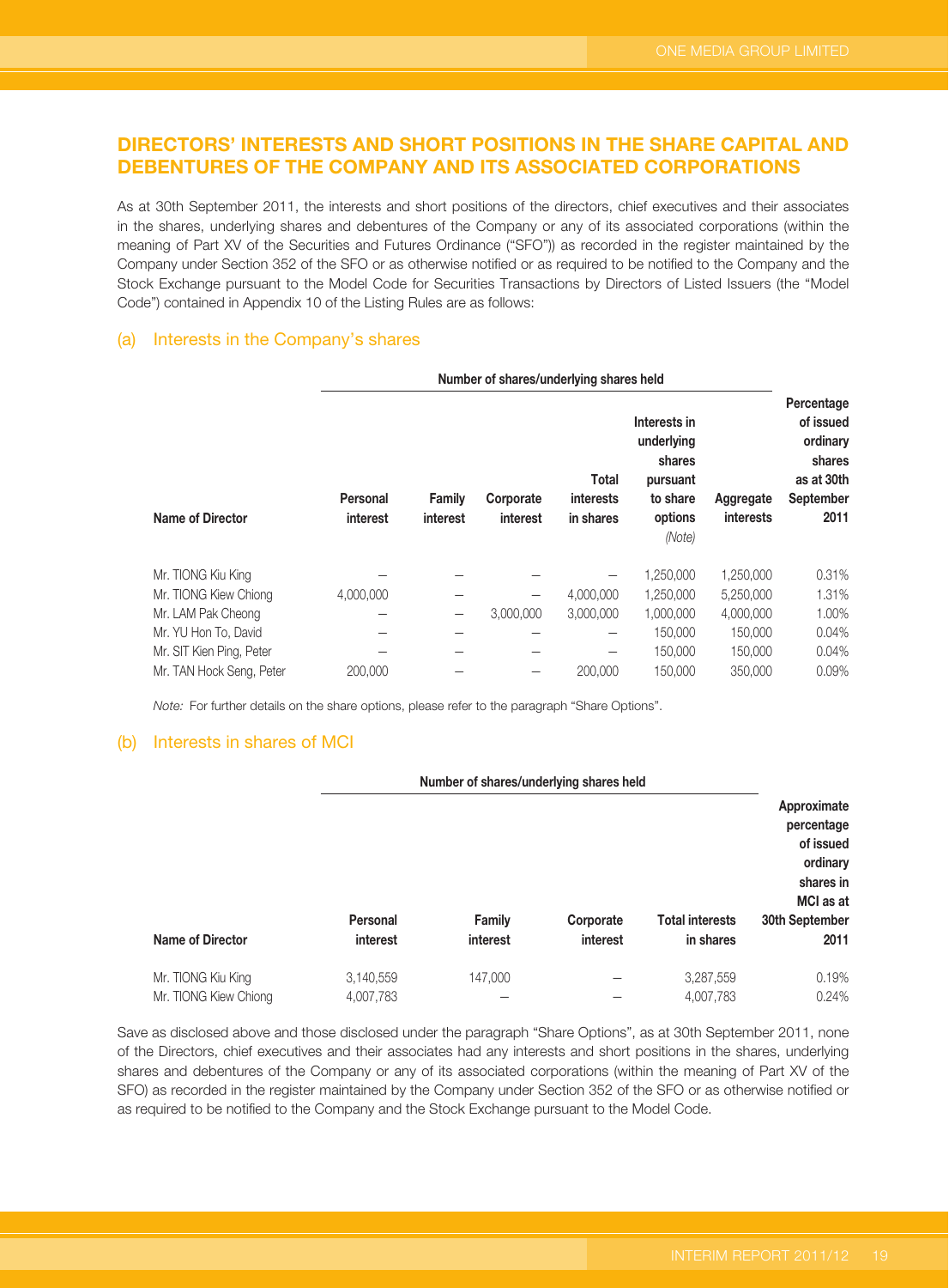## **DIRECTORS' INTERESTS AND SHORT POSITIONS IN THE SHARE CAPITAL AND DEBENTURES OF THE COMPANY AND ITS ASSOCIATED CORPORATIONS**

As at 30th September 2011, the interests and short positions of the directors, chief executives and their associates in the shares, underlying shares and debentures of the Company or any of its associated corporations (within the meaning of Part XV of the Securities and Futures Ordinance ("SFO")) as recorded in the register maintained by the Company under Section 352 of the SFO or as otherwise notified or as required to be notified to the Company and the Stock Exchange pursuant to the Model Code for Securities Transactions by Directors of Listed Issuers (the "Model Code") contained in Appendix 10 of the Listing Rules are as follows:

### (a) Interests in the Company's shares

|                          | Number of shares/underlying shares held |                          |                              |                                        |                                                                                   |                               |                                                                                  |
|--------------------------|-----------------------------------------|--------------------------|------------------------------|----------------------------------------|-----------------------------------------------------------------------------------|-------------------------------|----------------------------------------------------------------------------------|
| Name of Director         | Personal<br>interest                    | Family<br>interest       | Corporate<br><b>interest</b> | Total<br><i>interests</i><br>in shares | Interests in<br>underlying<br>shares<br>pursuant<br>to share<br>options<br>(Note) | Aggregate<br><b>interests</b> | Percentage<br>of issued<br>ordinary<br>shares<br>as at 30th<br>September<br>2011 |
| Mr. TIONG Kiu King       |                                         |                          |                              |                                        | 1,250,000                                                                         | 1,250,000                     | 0.31%                                                                            |
| Mr. TIONG Kiew Chiong    | 4,000,000                               |                          |                              | 4,000,000                              | 1,250,000                                                                         | 5,250,000                     | 1.31%                                                                            |
| Mr. LAM Pak Cheong       |                                         | $\overline{\phantom{0}}$ | 3,000,000                    | 3,000,000                              | 1,000,000                                                                         | 4,000,000                     | 1.00%                                                                            |
| Mr. YU Hon To, David     |                                         |                          |                              | $\overline{\phantom{0}}$               | 150,000                                                                           | 150,000                       | 0.04%                                                                            |
| Mr. SIT Kien Ping, Peter |                                         |                          |                              |                                        | 150,000                                                                           | 150,000                       | 0.04%                                                                            |
| Mr. TAN Hock Seng, Peter | 200,000                                 |                          |                              | 200,000                                | 150,000                                                                           | 350,000                       | 0.09%                                                                            |

Note: For further details on the share options, please refer to the paragraph "Share Options".

### (b) Interests in shares of MCI

|                       | Number of shares/underlying shares held |               |           |                        |                                                                              |
|-----------------------|-----------------------------------------|---------------|-----------|------------------------|------------------------------------------------------------------------------|
|                       |                                         |               |           |                        | Approximate<br>percentage<br>of issued<br>ordinary<br>shares in<br>MCI as at |
|                       | Personal                                | <b>Family</b> | Corporate | <b>Total interests</b> | 30th September                                                               |
| Name of Director      | interest                                | interest      | interest  | in shares              | 2011                                                                         |
| Mr. TIONG Kiu King    | 3,140,559                               | 147,000       |           | 3,287,559              | 0.19%                                                                        |
| Mr. TIONG Kiew Chiong | 4,007,783                               |               |           | 4,007,783              | 0.24%                                                                        |

Save as disclosed above and those disclosed under the paragraph "Share Options", as at 30th September 2011, none of the Directors, chief executives and their associates had any interests and short positions in the shares, underlying shares and debentures of the Company or any of its associated corporations (within the meaning of Part XV of the SFO) as recorded in the register maintained by the Company under Section 352 of the SFO or as otherwise notified or as required to be notified to the Company and the Stock Exchange pursuant to the Model Code.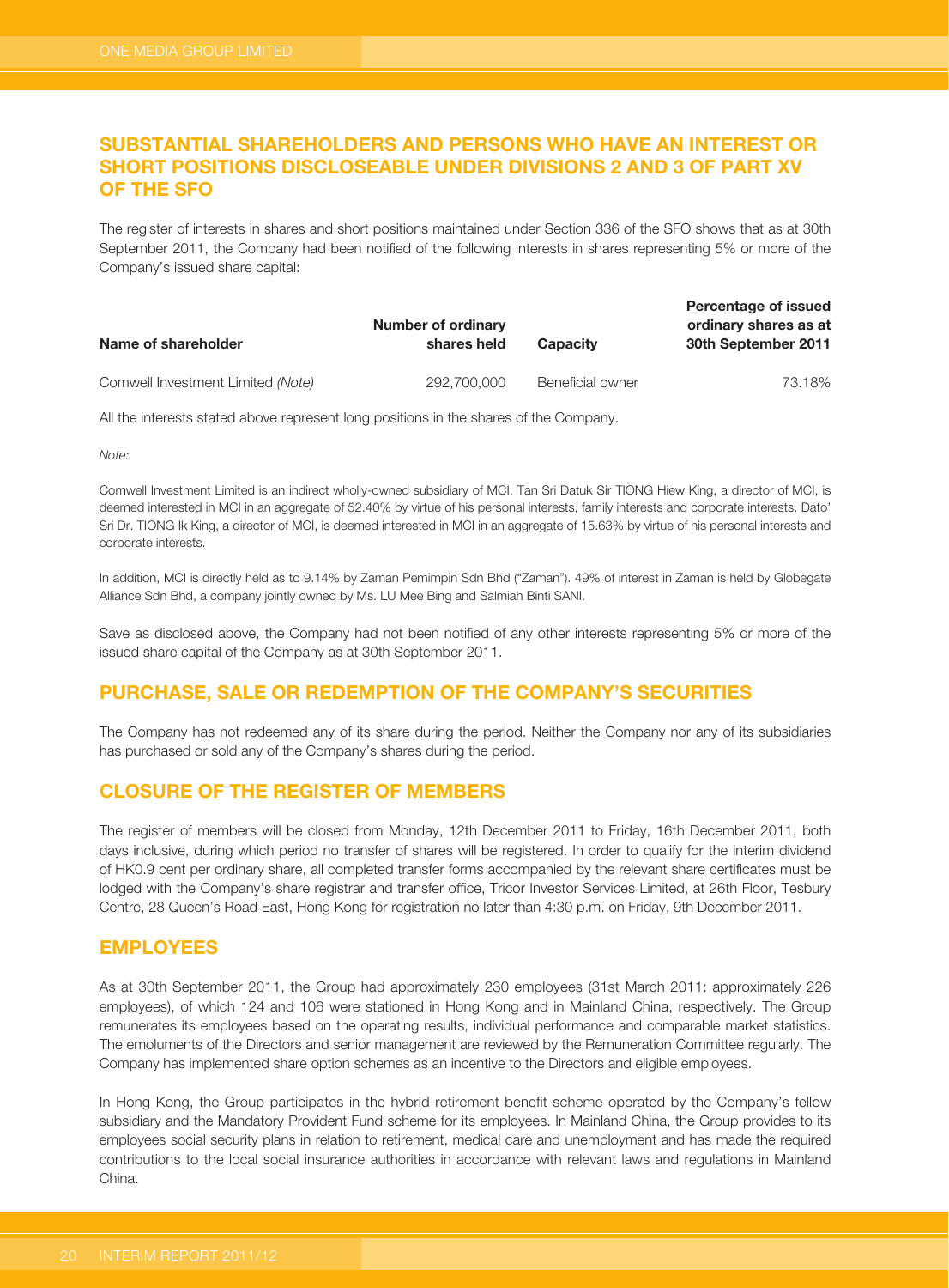# **SUBSTANTIAL SHAREHOLDERS AND PERSONS WHO HAVE AN INTEREST OR SHORT POSITIONS DISCLOSEABLE UNDER DIVISIONS 2 AND 3 OF PART XV OF THE SFO**

The register of interests in shares and short positions maintained under Section 336 of the SFO shows that as at 30th September 2011, the Company had been notified of the following interests in shares representing 5% or more of the Company's issued share capital:

| Name of shareholder               | Number of ordinary<br>shares held | <b>Capacity</b>  | Percentage of issued<br>ordinary shares as at<br>30th September 2011 |
|-----------------------------------|-----------------------------------|------------------|----------------------------------------------------------------------|
| Comwell Investment Limited (Note) | 292,700,000                       | Beneficial owner | 73.18%                                                               |

All the interests stated above represent long positions in the shares of the Company.

Note:

Comwell Investment Limited is an indirect wholly-owned subsidiary of MCI. Tan Sri Datuk Sir TIONG Hiew King, a director of MCI, is deemed interested in MCI in an aggregate of 52.40% by virtue of his personal interests, family interests and corporate interests. Dato' Sri Dr. TIONG Ik King, a director of MCI, is deemed interested in MCI in an aggregate of 15.63% by virtue of his personal interests and corporate interests.

In addition, MCI is directly held as to 9.14% by Zaman Pemimpin Sdn Bhd ("Zaman"). 49% of interest in Zaman is held by Globegate Alliance Sdn Bhd, a company jointly owned by Ms. LU Mee Bing and Salmiah Binti SANI.

Save as disclosed above, the Company had not been notified of any other interests representing 5% or more of the issued share capital of the Company as at 30th September 2011.

# **PURCHASE, SALE OR REDEMPTION OF THE COMPANY'S SECURITIES**

The Company has not redeemed any of its share during the period. Neither the Company nor any of its subsidiaries has purchased or sold any of the Company's shares during the period.

# **CLOSURE OF THE REGISTER OF MEMBERS**

The register of members will be closed from Monday, 12th December 2011 to Friday, 16th December 2011, both days inclusive, during which period no transfer of shares will be registered. In order to qualify for the interim dividend of HK0.9 cent per ordinary share, all completed transfer forms accompanied by the relevant share certificates must be lodged with the Company's share registrar and transfer office, Tricor Investor Services Limited, at 26th Floor, Tesbury Centre, 28 Queen's Road East, Hong Kong for registration no later than 4:30 p.m. on Friday, 9th December 2011.

## **EMPLOYEES**

As at 30th September 2011, the Group had approximately 230 employees (31st March 2011: approximately 226 employees), of which 124 and 106 were stationed in Hong Kong and in Mainland China, respectively. The Group remunerates its employees based on the operating results, individual performance and comparable market statistics. The emoluments of the Directors and senior management are reviewed by the Remuneration Committee regularly. The Company has implemented share option schemes as an incentive to the Directors and eligible employees.

In Hong Kong, the Group participates in the hybrid retirement benefit scheme operated by the Company's fellow subsidiary and the Mandatory Provident Fund scheme for its employees. In Mainland China, the Group provides to its employees social security plans in relation to retirement, medical care and unemployment and has made the required contributions to the local social insurance authorities in accordance with relevant laws and regulations in Mainland China.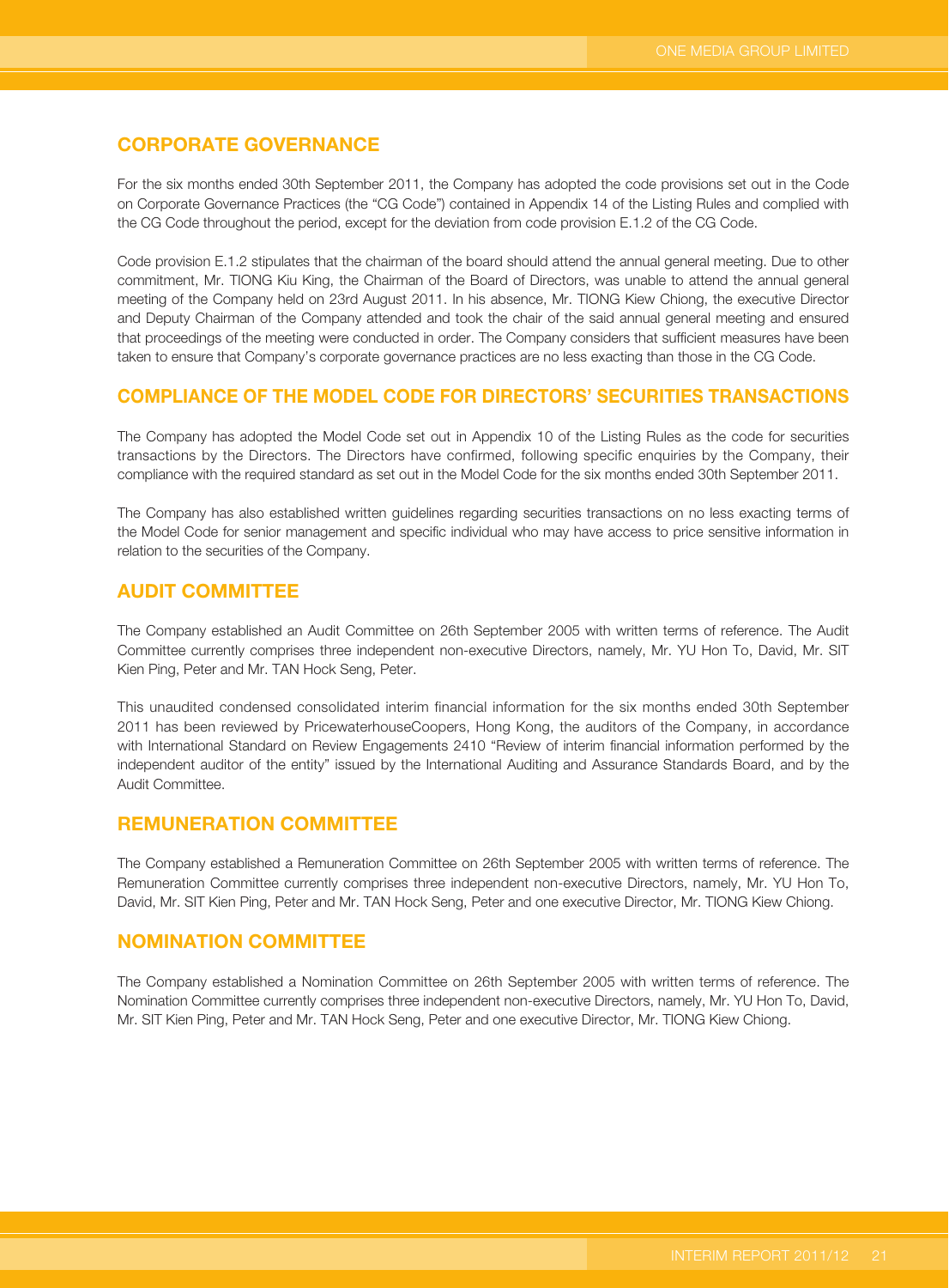## **CORPORATE GOVERNANCE**

For the six months ended 30th September 2011, the Company has adopted the code provisions set out in the Code on Corporate Governance Practices (the "CG Code") contained in Appendix 14 of the Listing Rules and complied with the CG Code throughout the period, except for the deviation from code provision E.1.2 of the CG Code.

Code provision E.1.2 stipulates that the chairman of the board should attend the annual general meeting. Due to other commitment, Mr. TIONG Kiu King, the Chairman of the Board of Directors, was unable to attend the annual general meeting of the Company held on 23rd August 2011. In his absence, Mr. TIONG Kiew Chiong, the executive Director and Deputy Chairman of the Company attended and took the chair of the said annual general meeting and ensured that proceedings of the meeting were conducted in order. The Company considers that sufficient measures have been taken to ensure that Company's corporate governance practices are no less exacting than those in the CG Code.

### **COMPLIANCE OF THE MODEL CODE FOR DIRECTORS' SECURITIES TRANSACTIONS**

The Company has adopted the Model Code set out in Appendix 10 of the Listing Rules as the code for securities transactions by the Directors. The Directors have confirmed, following specific enquiries by the Company, their compliance with the required standard as set out in the Model Code for the six months ended 30th September 2011.

The Company has also established written guidelines regarding securities transactions on no less exacting terms of the Model Code for senior management and specific individual who may have access to price sensitive information in relation to the securities of the Company.

## **AUDIT COMMITTEE**

The Company established an Audit Committee on 26th September 2005 with written terms of reference. The Audit Committee currently comprises three independent non-executive Directors, namely, Mr. YU Hon To, David, Mr. SIT Kien Ping, Peter and Mr. TAN Hock Seng, Peter.

This unaudited condensed consolidated interim financial information for the six months ended 30th September 2011 has been reviewed by PricewaterhouseCoopers, Hong Kong, the auditors of the Company, in accordance with International Standard on Review Engagements 2410 "Review of interim financial information performed by the independent auditor of the entity" issued by the International Auditing and Assurance Standards Board, and by the Audit Committee.

## **REMUNERATION COMMITTEE**

The Company established a Remuneration Committee on 26th September 2005 with written terms of reference. The Remuneration Committee currently comprises three independent non-executive Directors, namely, Mr. YU Hon To, David, Mr. SIT Kien Ping, Peter and Mr. TAN Hock Seng, Peter and one executive Director, Mr. TIONG Kiew Chiong.

### **NOMINATION COMMITTEE**

The Company established a Nomination Committee on 26th September 2005 with written terms of reference. The Nomination Committee currently comprises three independent non-executive Directors, namely, Mr. YU Hon To, David, Mr. SIT Kien Ping, Peter and Mr. TAN Hock Seng, Peter and one executive Director, Mr. TIONG Kiew Chiong.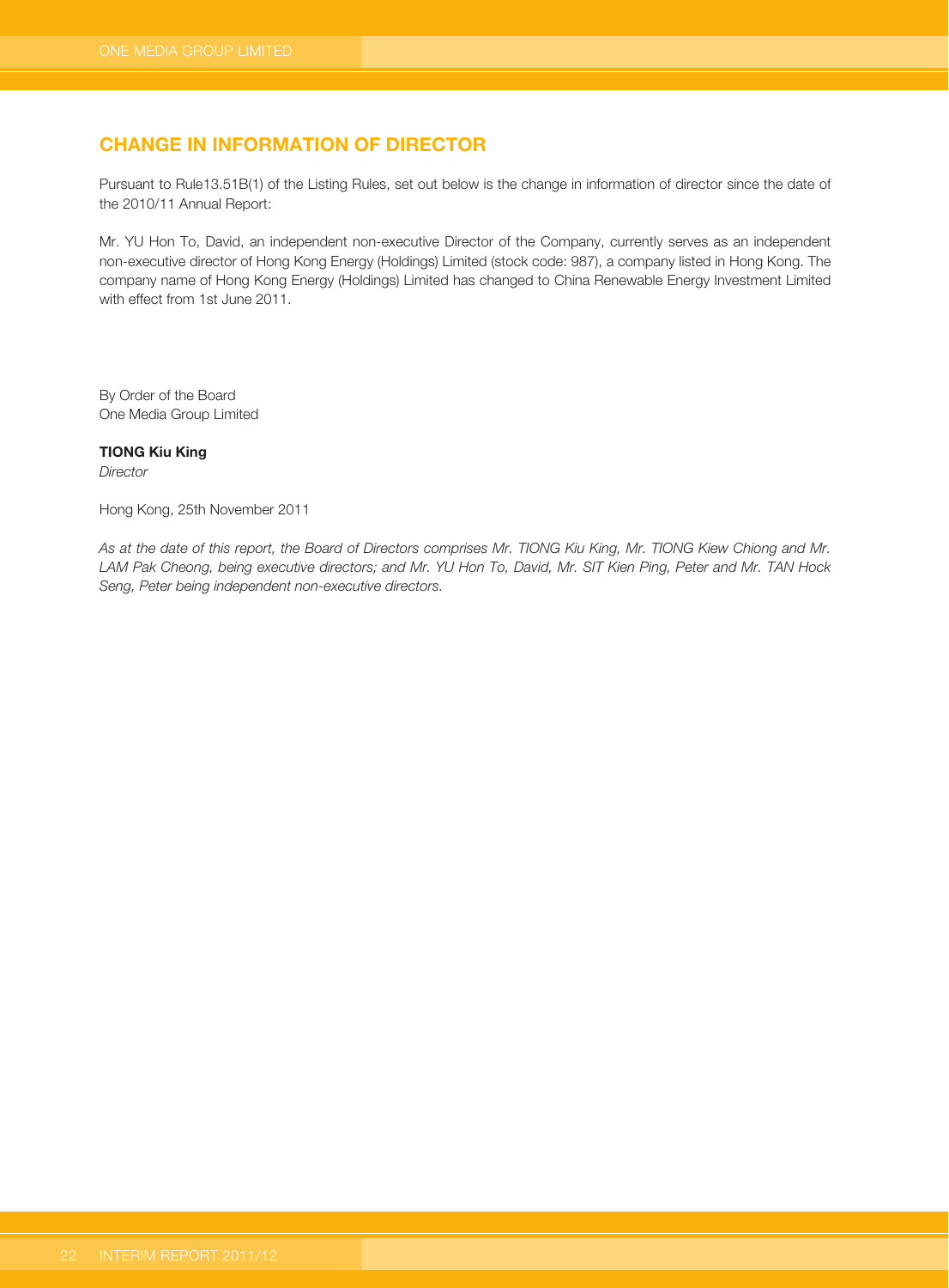# **CHANGE IN INFORMATION OF DIRECTOR**

Pursuant to Rule13.51B(1) of the Listing Rules, set out below is the change in information of director since the date of the 2010/11 Annual Report:

Mr. YU Hon To, David, an independent non-executive Director of the Company, currently serves as an independent non-executive director of Hong Kong Energy (Holdings) Limited (stock code: 987), a company listed in Hong Kong. The company name of Hong Kong Energy (Holdings) Limited has changed to China Renewable Energy Investment Limited with effect from 1st June 2011.

By Order of the Board One Media Group Limited

#### **TIONG Kiu King**

**Director** 

Hong Kong, 25th November 2011

As at the date of this report, the Board of Directors comprises Mr. TIONG Kiu King, Mr. TIONG Kiew Chiong and Mr. LAM Pak Cheong, being executive directors; and Mr. YU Hon To, David, Mr. SIT Kien Ping, Peter and Mr. TAN Hock Seng, Peter being independent non-executive directors.